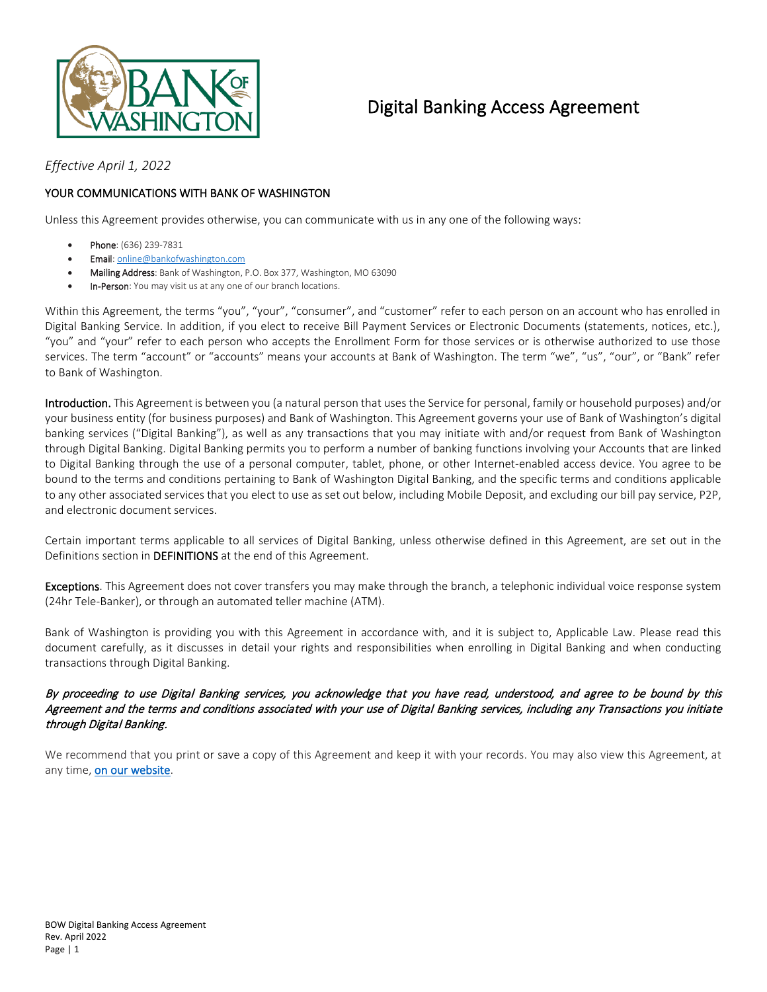

# Digital Banking Access Agreement

*Effective April 1, 2022*

### YOUR COMMUNICATIONS WITH BANK OF WASHINGTON

Unless this Agreement provides otherwise, you can communicate with us in any one of the following ways:

- Phone: (636) 239-7831
- Email[: online@bankofwashington.com](mailto:online@bankofwashington.com)
- Mailing Address: Bank of Washington, P.O. Box 377, Washington, MO 63090
- In-Person: You may visit us at any one of our branch locations.

Within this Agreement, the terms "you", "your", "consumer", and "customer" refer to each person on an account who has enrolled in Digital Banking Service. In addition, if you elect to receive Bill Payment Services or Electronic Documents (statements, notices, etc.), "you" and "your" refer to each person who accepts the Enrollment Form for those services or is otherwise authorized to use those services. The term "account" or "accounts" means your accounts at Bank of Washington. The term "we", "us", "our", or "Bank" refer to Bank of Washington.

Introduction. This Agreement is between you (a natural person that uses the Service for personal, family or household purposes) and/or your business entity (for business purposes) and Bank of Washington. This Agreement governs your use of Bank of Washington's digital banking services ("Digital Banking"), as well as any transactions that you may initiate with and/or request from Bank of Washington through Digital Banking. Digital Banking permits you to perform a number of banking functions involving your Accounts that are linked to Digital Banking through the use of a personal computer, tablet, phone, or other Internet-enabled access device. You agree to be bound to the terms and conditions pertaining to Bank of Washington Digital Banking, and the specific terms and conditions applicable to any other associated services that you elect to use as set out below, including Mobile Deposit, and excluding our bill pay service, P2P, and electronic document services.

Certain important terms applicable to all services of Digital Banking, unless otherwise defined in this Agreement, are set out in the Definitions section in DEFINITIONS at the end of this Agreement.

Exceptions. This Agreement does not cover transfers you may make through the branch, a telephonic individual voice response system (24hr Tele-Banker), or through an automated teller machine (ATM).

Bank of Washington is providing you with this Agreement in accordance with, and it is subject to, Applicable Law. Please read this document carefully, as it discusses in detail your rights and responsibilities when enrolling in Digital Banking and when conducting transactions through Digital Banking.

#### By proceeding to use Digital Banking services, you acknowledge that you have read, understood, and agree to be bound by this Agreement and the terms and conditions associated with your use of Digital Banking services, including any Transactions you initiate through Digital Banking.

We recommend that you print or save a copy of this Agreement and keep it with your records. You may also view this Agreement, at any time[, on our website.](https://www.bankofwashington.com/about-us/digital-banking-agreement)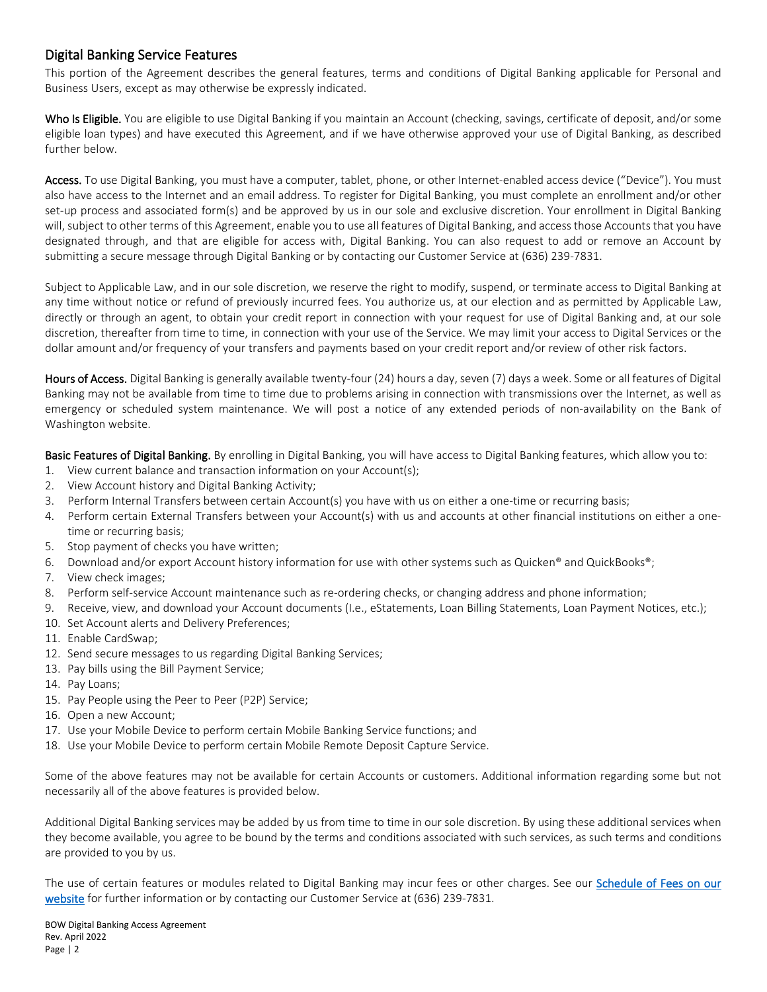# Digital Banking Service Features

This portion of the Agreement describes the general features, terms and conditions of Digital Banking applicable for Personal and Business Users, except as may otherwise be expressly indicated.

Who Is Eligible. You are eligible to use Digital Banking if you maintain an Account (checking, savings, certificate of deposit, and/or some eligible loan types) and have executed this Agreement, and if we have otherwise approved your use of Digital Banking, as described further below.

Access. To use Digital Banking, you must have a computer, tablet, phone, or other Internet-enabled access device ("Device"). You must also have access to the Internet and an email address. To register for Digital Banking, you must complete an enrollment and/or other set-up process and associated form(s) and be approved by us in our sole and exclusive discretion. Your enrollment in Digital Banking will, subject to other terms of this Agreement, enable you to use all features of Digital Banking, and access those Accounts that you have designated through, and that are eligible for access with, Digital Banking. You can also request to add or remove an Account by submitting a secure message through Digital Banking or by contacting our Customer Service at (636) 239-7831.

Subject to Applicable Law, and in our sole discretion, we reserve the right to modify, suspend, or terminate access to Digital Banking at any time without notice or refund of previously incurred fees. You authorize us, at our election and as permitted by Applicable Law, directly or through an agent, to obtain your credit report in connection with your request for use of Digital Banking and, at our sole discretion, thereafter from time to time, in connection with your use of the Service. We may limit your access to Digital Services or the dollar amount and/or frequency of your transfers and payments based on your credit report and/or review of other risk factors.

Hours of Access. Digital Banking is generally available twenty-four (24) hours a day, seven (7) days a week. Some or all features of Digital Banking may not be available from time to time due to problems arising in connection with transmissions over the Internet, as well as emergency or scheduled system maintenance. We will post a notice of any extended periods of non-availability on the Bank of Washington website.

Basic Features of Digital Banking. By enrolling in Digital Banking, you will have access to Digital Banking features, which allow you to:

- 1. View current balance and transaction information on your Account(s);
- 2. View Account history and Digital Banking Activity;
- 3. Perform Internal Transfers between certain Account(s) you have with us on either a one-time or recurring basis;
- 4. Perform certain External Transfers between your Account(s) with us and accounts at other financial institutions on either a onetime or recurring basis;
- 5. Stop payment of checks you have written;
- 6. Download and/or export Account history information for use with other systems such as Quicken® and QuickBooks®;
- 7. View check images;
- 8. Perform self-service Account maintenance such as re-ordering checks, or changing address and phone information;
- 9. Receive, view, and download your Account documents (I.e., eStatements, Loan Billing Statements, Loan Payment Notices, etc.);
- 10. Set Account alerts and Delivery Preferences;
- 11. Enable CardSwap;
- 12. Send secure messages to us regarding Digital Banking Services;
- 13. Pay bills using the Bill Payment Service;
- 14. Pay Loans;
- 15. Pay People using the Peer to Peer (P2P) Service;
- 16. Open a new Account;
- 17. Use your Mobile Device to perform certain Mobile Banking Service functions; and
- 18. Use your Mobile Device to perform certain Mobile Remote Deposit Capture Service.

Some of the above features may not be available for certain Accounts or customers. Additional information regarding some but not necessarily all of the above features is provided below.

Additional Digital Banking services may be added by us from time to time in our sole discretion. By using these additional services when they become available, you agree to be bound by the terms and conditions associated with such services, as such terms and conditions are provided to you by us.

The use of certain features or modules related to Digital Banking may incur fees or other charges. See our Schedule of Fees on our [website](https://www.bankofwashington.com/about-us/schedule-of-fees) for further information or by contacting our Customer Service at (636) 239-7831.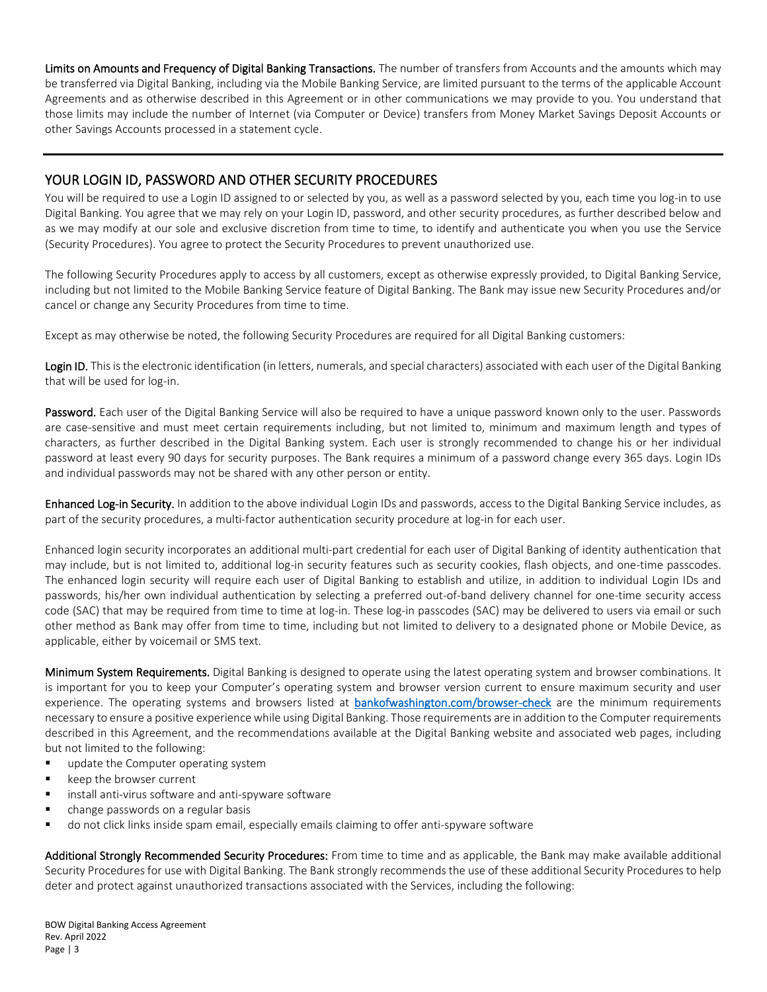Limits on Amounts and Frequency of Digital Banking Transactions. The number of transfers from Accounts and the amounts which may be transferred via Digital Banking, including via the Mobile Banking Service, are limited pursuant to the terms of the applicable Account Agreements and as otherwise described in this Agreement or in other communications we may provide to you. You understand that those limits may include the number of Internet (via Computer or Device) transfers from Money Market Savings Deposit Accounts or other Savings Accounts processed in a statement cycle.

# YOUR LOGIN ID, PASSWORD AND OTHER SECURITY PROCEDURES

You will be required to use a Login ID assigned to or selected by you, as well as a password selected by you, each time you log-in to use Digital Banking. You agree that we may rely on your Login ID, password, and other security procedures, as further described below and as we may modify at our sole and exclusive discretion from time to time, to identify and authenticate you when you use the Service (Security Procedures). You agree to protect the Security Procedures to prevent unauthorized use.

The following Security Procedures apply to access by all customers, except as otherwise expressly provided, to Digital Banking Service, including but not limited to the Mobile Banking Service feature of Digital Banking. The Bank may issue new Security Procedures and/or cancel or change any Security Procedures from time to time.

Except as may otherwise be noted, the following Security Procedures are required for all Digital Banking customers:

Login ID. This is the electronic identification (in letters, numerals, and special characters) associated with each user of the Digital Banking that will be used for log-in.

Password. Each user of the Digital Banking Service will also be required to have a unique password known only to the user. Passwords are case-sensitive and must meet certain requirements including, but not limited to, minimum and maximum length and types of characters, as further described in the Digital Banking system. Each user is strongly recommended to change his or her individual password at least every 90 days for security purposes. The Bank requires a minimum of a password change every 365 days. Login IDs and individual passwords may not be shared with any other person or entity.

Enhanced Log-in Security. In addition to the above individual Login IDs and passwords, access to the Digital Banking Service includes, as part of the security procedures, a multi-factor authentication security procedure at log-in for each user.

Enhanced login security incorporates an additional multi-part credential for each user of Digital Banking of identity authentication that may include, but is not limited to, additional log-in security features such as security cookies, flash objects, and one-time passcodes. The enhanced login security will require each user of Digital Banking to establish and utilize, in addition to individual Login IDs and passwords, his/her own individual authentication by selecting a preferred out-of-band delivery channel for one-time security access code (SAC) that may be required from time to time at log-in. These log-in passcodes (SAC) may be delivered to users via email or such other method as Bank may offer from time to time, including but not limited to delivery to a designated phone or Mobile Device, as applicable, either by voicemail or SMS text.

Minimum System Requirements. Digital Banking is designed to operate using the latest operating system and browser combinations. It is important for you to keep your Computer's operating system and browser version current to ensure maximum security and user experience. The operating systems and browsers listed at **bankofwashington.com/browser-check** are the minimum requirements necessary to ensure a positive experience while using Digital Banking. Those requirements are in addition to the Computer requirements described in this Agreement, and the recommendations available at the Digital Banking website and associated web pages, including but not limited to the following:

- **update the Computer operating system**
- keep the browser current
- install anti-virus software and anti-spyware software
- change passwords on a regular basis
- do not click links inside spam email, especially emails claiming to offer anti-spyware software

Additional Strongly Recommended Security Procedures: From time to time and as applicable, the Bank may make available additional Security Procedures for use with Digital Banking. The Bank strongly recommends the use of these additional Security Procedures to help deter and protect against unauthorized transactions associated with the Services, including the following: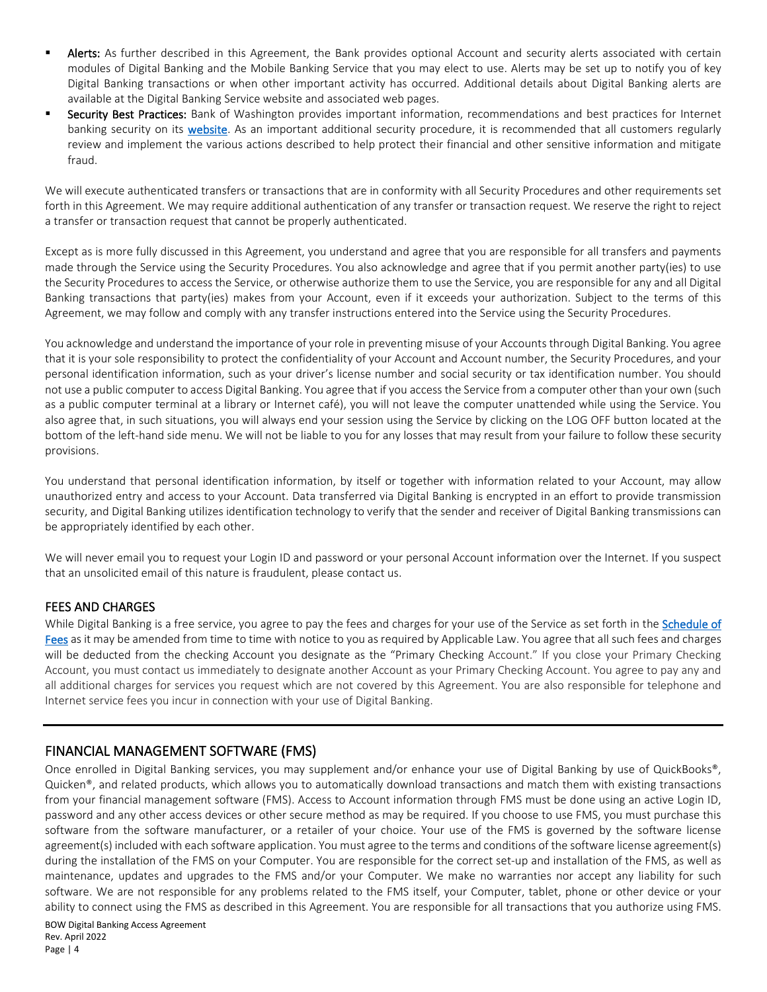- Alerts: As further described in this Agreement, the Bank provides optional Account and security alerts associated with certain modules of Digital Banking and the Mobile Banking Service that you may elect to use. Alerts may be set up to notify you of key Digital Banking transactions or when other important activity has occurred. Additional details about Digital Banking alerts are available at the Digital Banking Service website and associated web pages.
- **Security Best Practices:** Bank of Washington provides important information, recommendations and best practices for Internet banking security on its [website.](https://www.bankofwashington.com/cybersecurity) As an important additional security procedure, it is recommended that all customers regularly review and implement the various actions described to help protect their financial and other sensitive information and mitigate fraud.

We will execute authenticated transfers or transactions that are in conformity with all Security Procedures and other requirements set forth in this Agreement. We may require additional authentication of any transfer or transaction request. We reserve the right to reject a transfer or transaction request that cannot be properly authenticated.

Except as is more fully discussed in this Agreement, you understand and agree that you are responsible for all transfers and payments made through the Service using the Security Procedures. You also acknowledge and agree that if you permit another party(ies) to use the Security Procedures to access the Service, or otherwise authorize them to use the Service, you are responsible for any and all Digital Banking transactions that party(ies) makes from your Account, even if it exceeds your authorization. Subject to the terms of this Agreement, we may follow and comply with any transfer instructions entered into the Service using the Security Procedures.

You acknowledge and understand the importance of your role in preventing misuse of your Accounts through Digital Banking. You agree that it is your sole responsibility to protect the confidentiality of your Account and Account number, the Security Procedures, and your personal identification information, such as your driver's license number and social security or tax identification number. You should not use a public computer to access Digital Banking. You agree that if you access the Service from a computer other than your own (such as a public computer terminal at a library or Internet café), you will not leave the computer unattended while using the Service. You also agree that, in such situations, you will always end your session using the Service by clicking on the LOG OFF button located at the bottom of the left-hand side menu. We will not be liable to you for any losses that may result from your failure to follow these security provisions.

You understand that personal identification information, by itself or together with information related to your Account, may allow unauthorized entry and access to your Account. Data transferred via Digital Banking is encrypted in an effort to provide transmission security, and Digital Banking utilizes identification technology to verify that the sender and receiver of Digital Banking transmissions can be appropriately identified by each other.

We will never email you to request your Login ID and password or your personal Account information over the Internet. If you suspect that an unsolicited email of this nature is fraudulent, please contact us.

## FEES AND CHARGES

While Digital Banking is a free service, you agree to pay the fees and charges for your use of the Service as set forth in the Schedule of [Fees](https://www.bankofwashington.com/about-us/schedule-of-fees) as it may be amended from time to time with notice to you as required by Applicable Law. You agree that all such fees and charges will be deducted from the checking Account you designate as the "Primary Checking Account." If you close your Primary Checking Account, you must contact us immediately to designate another Account as your Primary Checking Account. You agree to pay any and all additional charges for services you request which are not covered by this Agreement. You are also responsible for telephone and Internet service fees you incur in connection with your use of Digital Banking.

# FINANCIAL MANAGEMENT SOFTWARE (FMS)

Once enrolled in Digital Banking services, you may supplement and/or enhance your use of Digital Banking by use of QuickBooks®, Quicken®, and related products, which allows you to automatically download transactions and match them with existing transactions from your financial management software (FMS). Access to Account information through FMS must be done using an active Login ID, password and any other access devices or other secure method as may be required. If you choose to use FMS, you must purchase this software from the software manufacturer, or a retailer of your choice. Your use of the FMS is governed by the software license agreement(s) included with each software application. You must agree to the terms and conditions of the software license agreement(s) during the installation of the FMS on your Computer. You are responsible for the correct set-up and installation of the FMS, as well as maintenance, updates and upgrades to the FMS and/or your Computer. We make no warranties nor accept any liability for such software. We are not responsible for any problems related to the FMS itself, your Computer, tablet, phone or other device or your ability to connect using the FMS as described in this Agreement. You are responsible for all transactions that you authorize using FMS.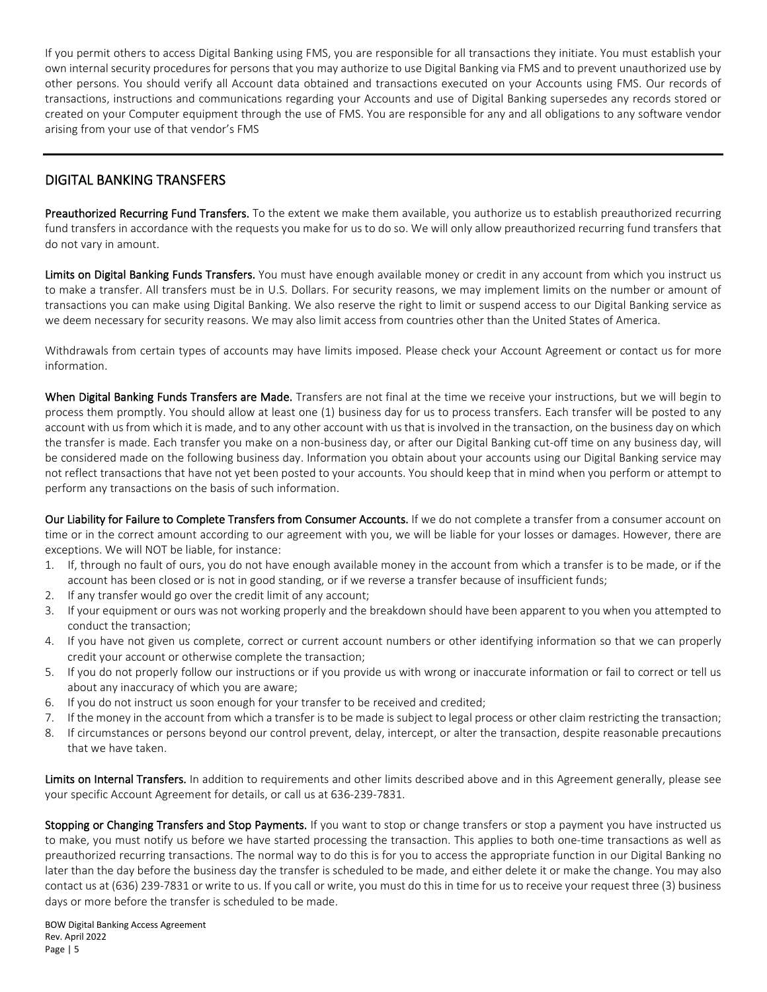If you permit others to access Digital Banking using FMS, you are responsible for all transactions they initiate. You must establish your own internal security procedures for persons that you may authorize to use Digital Banking via FMS and to prevent unauthorized use by other persons. You should verify all Account data obtained and transactions executed on your Accounts using FMS. Our records of transactions, instructions and communications regarding your Accounts and use of Digital Banking supersedes any records stored or created on your Computer equipment through the use of FMS. You are responsible for any and all obligations to any software vendor arising from your use of that vendor's FMS

# DIGITAL BANKING TRANSFERS

Preauthorized Recurring Fund Transfers. To the extent we make them available, you authorize us to establish preauthorized recurring fund transfers in accordance with the requests you make for us to do so. We will only allow preauthorized recurring fund transfers that do not vary in amount.

Limits on Digital Banking Funds Transfers. You must have enough available money or credit in any account from which you instruct us to make a transfer. All transfers must be in U.S. Dollars. For security reasons, we may implement limits on the number or amount of transactions you can make using Digital Banking. We also reserve the right to limit or suspend access to our Digital Banking service as we deem necessary for security reasons. We may also limit access from countries other than the United States of America.

Withdrawals from certain types of accounts may have limits imposed. Please check your Account Agreement or contact us for more information.

When Digital Banking Funds Transfers are Made. Transfers are not final at the time we receive your instructions, but we will begin to process them promptly. You should allow at least one (1) business day for us to process transfers. Each transfer will be posted to any account with us from which it is made, and to any other account with us that is involved in the transaction, on the business day on which the transfer is made. Each transfer you make on a non-business day, or after our Digital Banking cut-off time on any business day, will be considered made on the following business day. Information you obtain about your accounts using our Digital Banking service may not reflect transactions that have not yet been posted to your accounts. You should keep that in mind when you perform or attempt to perform any transactions on the basis of such information.

Our Liability for Failure to Complete Transfers from Consumer Accounts. If we do not complete a transfer from a consumer account on time or in the correct amount according to our agreement with you, we will be liable for your losses or damages. However, there are exceptions. We will NOT be liable, for instance:

- 1. If, through no fault of ours, you do not have enough available money in the account from which a transfer is to be made, or if the account has been closed or is not in good standing, or if we reverse a transfer because of insufficient funds;
- 2. If any transfer would go over the credit limit of any account;
- 3. If your equipment or ours was not working properly and the breakdown should have been apparent to you when you attempted to conduct the transaction;
- 4. If you have not given us complete, correct or current account numbers or other identifying information so that we can properly credit your account or otherwise complete the transaction;
- 5. If you do not properly follow our instructions or if you provide us with wrong or inaccurate information or fail to correct or tell us about any inaccuracy of which you are aware;
- 6. If you do not instruct us soon enough for your transfer to be received and credited;
- 7. If the money in the account from which a transfer is to be made is subject to legal process or other claim restricting the transaction;
- 8. If circumstances or persons beyond our control prevent, delay, intercept, or alter the transaction, despite reasonable precautions that we have taken.

Limits on Internal Transfers. In addition to requirements and other limits described above and in this Agreement generally, please see your specific Account Agreement for details, or call us at 636-239-7831.

Stopping or Changing Transfers and Stop Payments. If you want to stop or change transfers or stop a payment you have instructed us to make, you must notify us before we have started processing the transaction. This applies to both one-time transactions as well as preauthorized recurring transactions. The normal way to do this is for you to access the appropriate function in our Digital Banking no later than the day before the business day the transfer is scheduled to be made, and either delete it or make the change. You may also contact us at (636) 239-7831 or write to us. If you call or write, you must do this in time for us to receive your request three (3) business days or more before the transfer is scheduled to be made.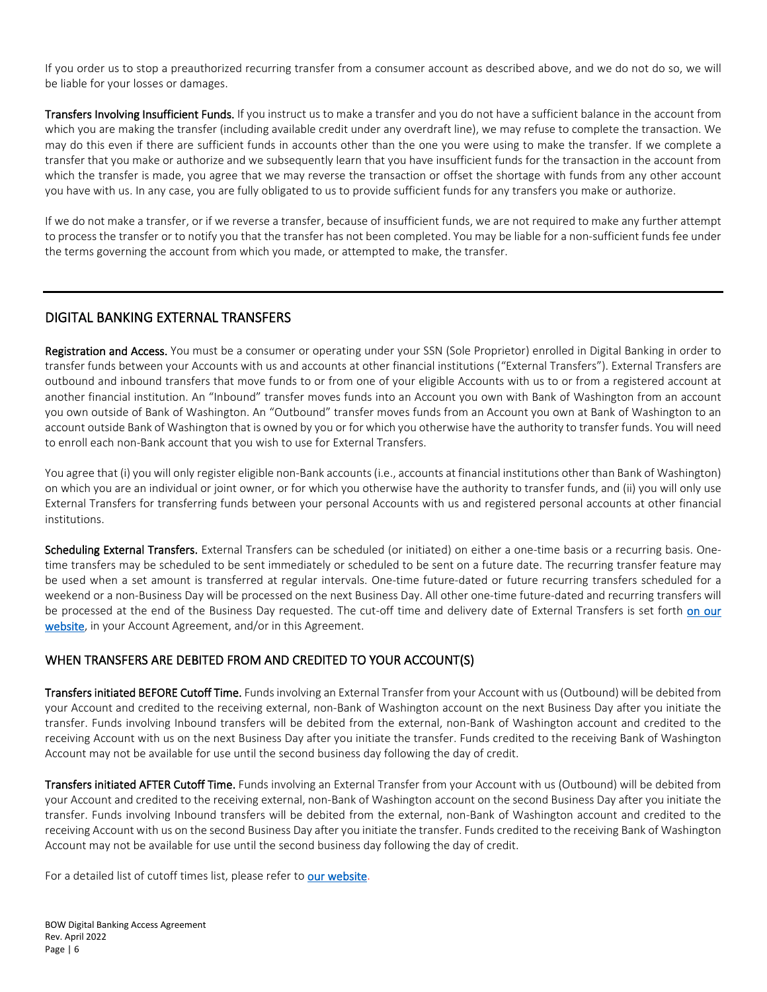If you order us to stop a preauthorized recurring transfer from a consumer account as described above, and we do not do so, we will be liable for your losses or damages.

Transfers Involving Insufficient Funds. If you instruct us to make a transfer and you do not have a sufficient balance in the account from which you are making the transfer (including available credit under any overdraft line), we may refuse to complete the transaction. We may do this even if there are sufficient funds in accounts other than the one you were using to make the transfer. If we complete a transfer that you make or authorize and we subsequently learn that you have insufficient funds for the transaction in the account from which the transfer is made, you agree that we may reverse the transaction or offset the shortage with funds from any other account you have with us. In any case, you are fully obligated to us to provide sufficient funds for any transfers you make or authorize.

If we do not make a transfer, or if we reverse a transfer, because of insufficient funds, we are not required to make any further attempt to process the transfer or to notify you that the transfer has not been completed. You may be liable for a non-sufficient funds fee under the terms governing the account from which you made, or attempted to make, the transfer.

## DIGITAL BANKING EXTERNAL TRANSFERS

Registration and Access. You must be a consumer or operating under your SSN (Sole Proprietor) enrolled in Digital Banking in order to transfer funds between your Accounts with us and accounts at other financial institutions ("External Transfers"). External Transfers are outbound and inbound transfers that move funds to or from one of your eligible Accounts with us to or from a registered account at another financial institution. An "Inbound" transfer moves funds into an Account you own with Bank of Washington from an account you own outside of Bank of Washington. An "Outbound" transfer moves funds from an Account you own at Bank of Washington to an account outside Bank of Washington that is owned by you or for which you otherwise have the authority to transfer funds. You will need to enroll each non-Bank account that you wish to use for External Transfers.

You agree that (i) you will only register eligible non-Bank accounts (i.e., accounts at financial institutions other than Bank of Washington) on which you are an individual or joint owner, or for which you otherwise have the authority to transfer funds, and (ii) you will only use External Transfers for transferring funds between your personal Accounts with us and registered personal accounts at other financial institutions.

Scheduling External Transfers. External Transfers can be scheduled (or initiated) on either a one-time basis or a recurring basis. Onetime transfers may be scheduled to be sent immediately or scheduled to be sent on a future date. The recurring transfer feature may be used when a set amount is transferred at regular intervals. One-time future-dated or future recurring transfers scheduled for a weekend or a non-Business Day will be processed on the next Business Day. All other one-time future-dated and recurring transfers will be processed at the end of the Business Day requested. The cut-off time and delivery date of External Transfers is set forth on our [website,](https://www.bankofwashington.com/cutoff) in your Account Agreement, and/or in this Agreement.

#### WHEN TRANSFERS ARE DEBITED FROM AND CREDITED TO YOUR ACCOUNT(S)

**Transfers initiated BEFORE Cutoff Time.** Funds involving an External Transfer from your Account with us (Outbound) will be debited from your Account and credited to the receiving external, non-Bank of Washington account on the next Business Day after you initiate the transfer. Funds involving Inbound transfers will be debited from the external, non-Bank of Washington account and credited to the receiving Account with us on the next Business Day after you initiate the transfer. Funds credited to the receiving Bank of Washington Account may not be available for use until the second business day following the day of credit.

Transfers initiated AFTER Cutoff Time. Funds involving an External Transfer from your Account with us (Outbound) will be debited from your Account and credited to the receiving external, non-Bank of Washington account on the second Business Day after you initiate the transfer. Funds involving Inbound transfers will be debited from the external, non-Bank of Washington account and credited to the receiving Account with us on the second Business Day after you initiate the transfer. Funds credited to the receiving Bank of Washington Account may not be available for use until the second business day following the day of credit.

For a detailed list of cutoff times list, please refer t[o our website.](https://www.bankofwashington.com/cutoff)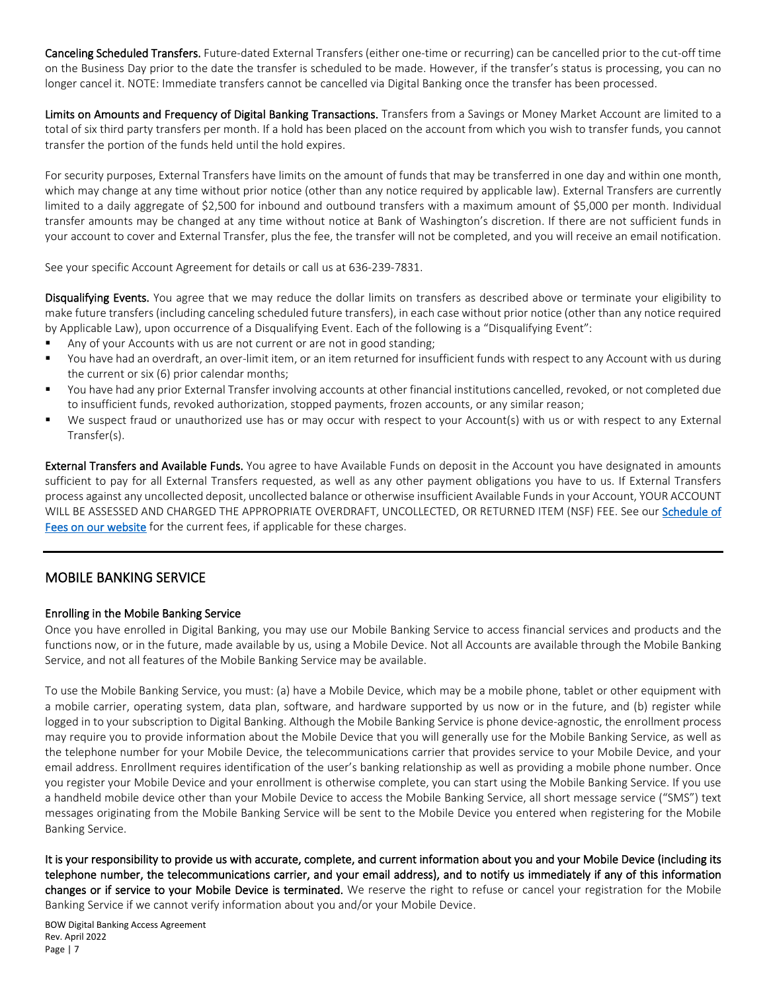Canceling Scheduled Transfers. Future-dated External Transfers (either one-time or recurring) can be cancelled prior to the cut-off time on the Business Day prior to the date the transfer is scheduled to be made. However, if the transfer's status is processing, you can no longer cancel it. NOTE: Immediate transfers cannot be cancelled via Digital Banking once the transfer has been processed.

Limits on Amounts and Frequency of Digital Banking Transactions. Transfers from a Savings or Money Market Account are limited to a total of six third party transfers per month. If a hold has been placed on the account from which you wish to transfer funds, you cannot transfer the portion of the funds held until the hold expires.

For security purposes, External Transfers have limits on the amount of funds that may be transferred in one day and within one month, which may change at any time without prior notice (other than any notice required by applicable law). External Transfers are currently limited to a daily aggregate of \$2,500 for inbound and outbound transfers with a maximum amount of \$5,000 per month. Individual transfer amounts may be changed at any time without notice at Bank of Washington's discretion. If there are not sufficient funds in your account to cover and External Transfer, plus the fee, the transfer will not be completed, and you will receive an email notification.

See your specific Account Agreement for details or call us at 636-239-7831.

Disqualifying Events. You agree that we may reduce the dollar limits on transfers as described above or terminate your eligibility to make future transfers (including canceling scheduled future transfers), in each case without prior notice (other than any notice required by Applicable Law), upon occurrence of a Disqualifying Event. Each of the following is a "Disqualifying Event":

- Any of your Accounts with us are not current or are not in good standing;
- You have had an overdraft, an over-limit item, or an item returned for insufficient funds with respect to any Account with us during the current or six (6) prior calendar months;
- You have had any prior External Transfer involving accounts at other financial institutions cancelled, revoked, or not completed due to insufficient funds, revoked authorization, stopped payments, frozen accounts, or any similar reason;
- We suspect fraud or unauthorized use has or may occur with respect to your Account(s) with us or with respect to any External Transfer(s).

External Transfers and Available Funds. You agree to have Available Funds on deposit in the Account you have designated in amounts sufficient to pay for all External Transfers requested, as well as any other payment obligations you have to us. If External Transfers process against any uncollected deposit, uncollected balance or otherwise insufficient Available Funds in your Account, YOUR ACCOUNT WILL BE ASSESSED AND CHARGED THE APPROPRIATE OVERDRAFT, UNCOLLECTED, OR RETURNED ITEM (NSF) FEE. See our Schedule of [Fees on our website](https://www.bankofwashington.com/about-us/schedule-of-fees) for the current fees, if applicable for these charges.

## MOBILE BANKING SERVICE

#### Enrolling in the Mobile Banking Service

Once you have enrolled in Digital Banking, you may use our Mobile Banking Service to access financial services and products and the functions now, or in the future, made available by us, using a Mobile Device. Not all Accounts are available through the Mobile Banking Service, and not all features of the Mobile Banking Service may be available.

To use the Mobile Banking Service, you must: (a) have a Mobile Device, which may be a mobile phone, tablet or other equipment with a mobile carrier, operating system, data plan, software, and hardware supported by us now or in the future, and (b) register while logged in to your subscription to Digital Banking. Although the Mobile Banking Service is phone device-agnostic, the enrollment process may require you to provide information about the Mobile Device that you will generally use for the Mobile Banking Service, as well as the telephone number for your Mobile Device, the telecommunications carrier that provides service to your Mobile Device, and your email address. Enrollment requires identification of the user's banking relationship as well as providing a mobile phone number. Once you register your Mobile Device and your enrollment is otherwise complete, you can start using the Mobile Banking Service. If you use a handheld mobile device other than your Mobile Device to access the Mobile Banking Service, all short message service ("SMS") text messages originating from the Mobile Banking Service will be sent to the Mobile Device you entered when registering for the Mobile Banking Service.

It is your responsibility to provide us with accurate, complete, and current information about you and your Mobile Device (including its telephone number, the telecommunications carrier, and your email address), and to notify us immediately if any of this information changes or if service to your Mobile Device is terminated. We reserve the right to refuse or cancel your registration for the Mobile Banking Service if we cannot verify information about you and/or your Mobile Device.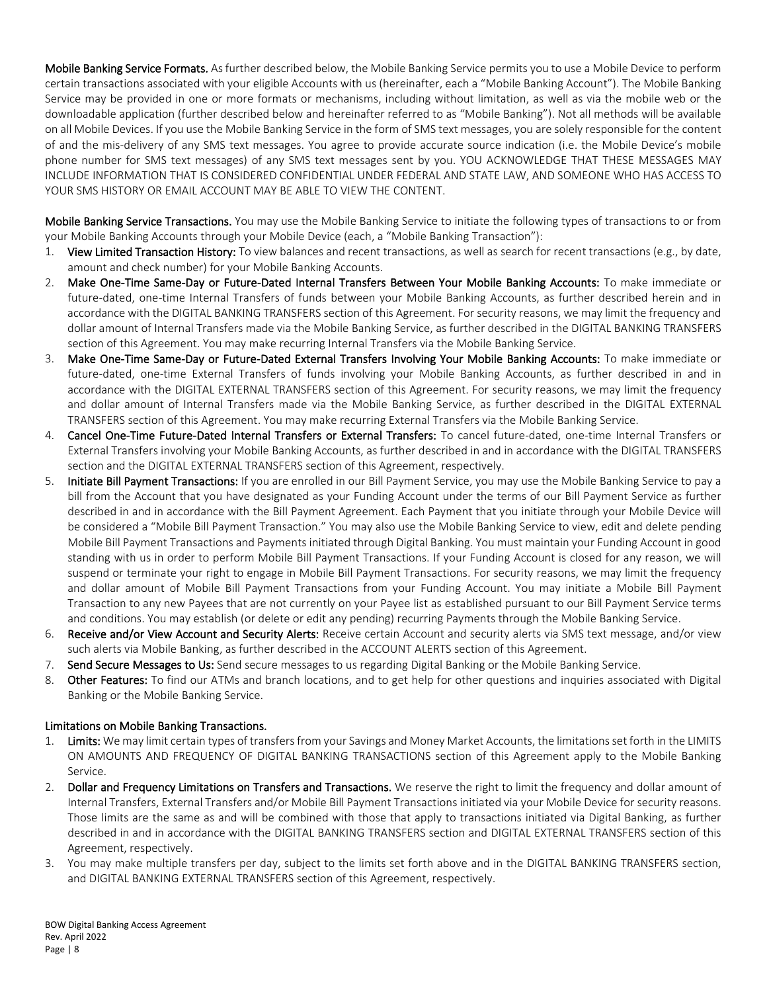Mobile Banking Service Formats. As further described below, the Mobile Banking Service permits you to use a Mobile Device to perform certain transactions associated with your eligible Accounts with us (hereinafter, each a "Mobile Banking Account"). The Mobile Banking Service may be provided in one or more formats or mechanisms, including without limitation, as well as via the mobile web or the downloadable application (further described below and hereinafter referred to as "Mobile Banking"). Not all methods will be available on all Mobile Devices. If you use the Mobile Banking Service in the form of SMS text messages, you are solely responsible for the content of and the mis-delivery of any SMS text messages. You agree to provide accurate source indication (i.e. the Mobile Device's mobile phone number for SMS text messages) of any SMS text messages sent by you. YOU ACKNOWLEDGE THAT THESE MESSAGES MAY INCLUDE INFORMATION THAT IS CONSIDERED CONFIDENTIAL UNDER FEDERAL AND STATE LAW, AND SOMEONE WHO HAS ACCESS TO YOUR SMS HISTORY OR EMAIL ACCOUNT MAY BE ABLE TO VIEW THE CONTENT.

Mobile Banking Service Transactions. You may use the Mobile Banking Service to initiate the following types of transactions to or from your Mobile Banking Accounts through your Mobile Device (each, a "Mobile Banking Transaction"):

- 1. View Limited Transaction History: To view balances and recent transactions, as well as search for recent transactions (e.g., by date, amount and check number) for your Mobile Banking Accounts.
- 2. Make One-Time Same-Day or Future-Dated Internal Transfers Between Your Mobile Banking Accounts: To make immediate or future-dated, one-time Internal Transfers of funds between your Mobile Banking Accounts, as further described herein and in accordance with the DIGITAL BANKING TRANSFERS section of this Agreement. For security reasons, we may limit the frequency and dollar amount of Internal Transfers made via the Mobile Banking Service, as further described in the DIGITAL BANKING TRANSFERS section of this Agreement. You may make recurring Internal Transfers via the Mobile Banking Service.
- 3. Make One-Time Same-Day or Future-Dated External Transfers Involving Your Mobile Banking Accounts: To make immediate or future-dated, one-time External Transfers of funds involving your Mobile Banking Accounts, as further described in and in accordance with the DIGITAL EXTERNAL TRANSFERS section of this Agreement. For security reasons, we may limit the frequency and dollar amount of Internal Transfers made via the Mobile Banking Service, as further described in the DIGITAL EXTERNAL TRANSFERS section of this Agreement. You may make recurring External Transfers via the Mobile Banking Service.
- 4. Cancel One-Time Future-Dated Internal Transfers or External Transfers: To cancel future-dated, one-time Internal Transfers or External Transfers involving your Mobile Banking Accounts, as further described in and in accordance with the DIGITAL TRANSFERS section and the DIGITAL EXTERNAL TRANSFERS section of this Agreement, respectively.
- 5. Initiate Bill Payment Transactions: If you are enrolled in our Bill Payment Service, you may use the Mobile Banking Service to pay a bill from the Account that you have designated as your Funding Account under the terms of our Bill Payment Service as further described in and in accordance with the Bill Payment Agreement. Each Payment that you initiate through your Mobile Device will be considered a "Mobile Bill Payment Transaction." You may also use the Mobile Banking Service to view, edit and delete pending Mobile Bill Payment Transactions and Payments initiated through Digital Banking. You must maintain your Funding Account in good standing with us in order to perform Mobile Bill Payment Transactions. If your Funding Account is closed for any reason, we will suspend or terminate your right to engage in Mobile Bill Payment Transactions. For security reasons, we may limit the frequency and dollar amount of Mobile Bill Payment Transactions from your Funding Account. You may initiate a Mobile Bill Payment Transaction to any new Payees that are not currently on your Payee list as established pursuant to our Bill Payment Service terms and conditions. You may establish (or delete or edit any pending) recurring Payments through the Mobile Banking Service.
- 6. Receive and/or View Account and Security Alerts: Receive certain Account and security alerts via SMS text message, and/or view such alerts via Mobile Banking, as further described in the ACCOUNT ALERTS section of this Agreement.
- 7. Send Secure Messages to Us: Send secure messages to us regarding Digital Banking or the Mobile Banking Service.
- 8. Other Features: To find our ATMs and branch locations, and to get help for other questions and inquiries associated with Digital Banking or the Mobile Banking Service.

#### Limitations on Mobile Banking Transactions.

- 1. Limits: We may limit certain types of transfers from your Savings and Money Market Accounts, the limitations set forth in the LIMITS ON AMOUNTS AND FREQUENCY OF DIGITAL BANKING TRANSACTIONS section of this Agreement apply to the Mobile Banking Service.
- 2. Dollar and Frequency Limitations on Transfers and Transactions. We reserve the right to limit the frequency and dollar amount of Internal Transfers, External Transfers and/or Mobile Bill Payment Transactions initiated via your Mobile Device for security reasons. Those limits are the same as and will be combined with those that apply to transactions initiated via Digital Banking, as further described in and in accordance with the DIGITAL BANKING TRANSFERS section and DIGITAL EXTERNAL TRANSFERS section of this Agreement, respectively.
- 3. You may make multiple transfers per day, subject to the limits set forth above and in the DIGITAL BANKING TRANSFERS section, and DIGITAL BANKING EXTERNAL TRANSFERS section of this Agreement, respectively.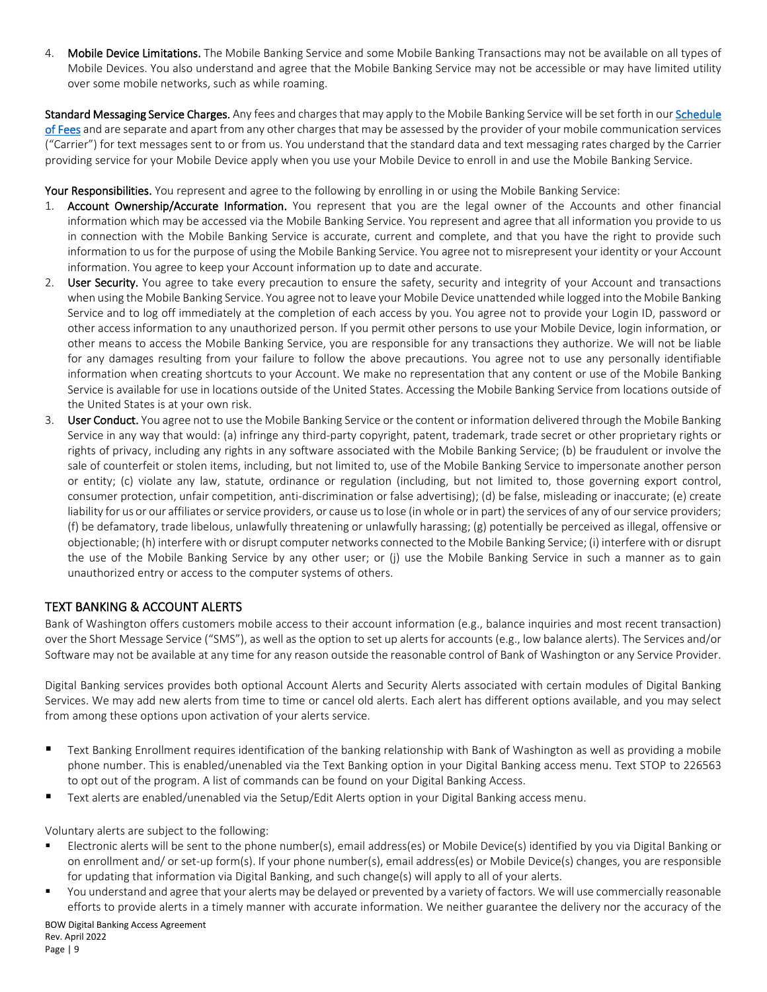4. Mobile Device Limitations. The Mobile Banking Service and some Mobile Banking Transactions may not be available on all types of Mobile Devices. You also understand and agree that the Mobile Banking Service may not be accessible or may have limited utility over some mobile networks, such as while roaming.

Standard Messaging Service Charges. Any fees and charges that may apply to the Mobile Banking Service will be set forth in our Schedule [of Fees](https://www.bankofwashington.com/about-us/schedule-of-fees) and are separate and apart from any other charges that may be assessed by the provider of your mobile communication services ("Carrier") for text messages sent to or from us. You understand that the standard data and text messaging rates charged by the Carrier providing service for your Mobile Device apply when you use your Mobile Device to enroll in and use the Mobile Banking Service.

Your Responsibilities. You represent and agree to the following by enrolling in or using the Mobile Banking Service:

- 1. Account Ownership/Accurate Information. You represent that you are the legal owner of the Accounts and other financial information which may be accessed via the Mobile Banking Service. You represent and agree that all information you provide to us in connection with the Mobile Banking Service is accurate, current and complete, and that you have the right to provide such information to us for the purpose of using the Mobile Banking Service. You agree not to misrepresent your identity or your Account information. You agree to keep your Account information up to date and accurate.
- 2. User Security. You agree to take every precaution to ensure the safety, security and integrity of your Account and transactions when using the Mobile Banking Service. You agree not to leave your Mobile Device unattended while logged into the Mobile Banking Service and to log off immediately at the completion of each access by you. You agree not to provide your Login ID, password or other access information to any unauthorized person. If you permit other persons to use your Mobile Device, login information, or other means to access the Mobile Banking Service, you are responsible for any transactions they authorize. We will not be liable for any damages resulting from your failure to follow the above precautions. You agree not to use any personally identifiable information when creating shortcuts to your Account. We make no representation that any content or use of the Mobile Banking Service is available for use in locations outside of the United States. Accessing the Mobile Banking Service from locations outside of the United States is at your own risk.
- 3. User Conduct. You agree not to use the Mobile Banking Service or the content or information delivered through the Mobile Banking Service in any way that would: (a) infringe any third-party copyright, patent, trademark, trade secret or other proprietary rights or rights of privacy, including any rights in any software associated with the Mobile Banking Service; (b) be fraudulent or involve the sale of counterfeit or stolen items, including, but not limited to, use of the Mobile Banking Service to impersonate another person or entity; (c) violate any law, statute, ordinance or regulation (including, but not limited to, those governing export control, consumer protection, unfair competition, anti-discrimination or false advertising); (d) be false, misleading or inaccurate; (e) create liability for us or our affiliates or service providers, or cause us to lose (in whole or in part) the services of any of our service providers; (f) be defamatory, trade libelous, unlawfully threatening or unlawfully harassing; (g) potentially be perceived as illegal, offensive or objectionable; (h) interfere with or disrupt computer networks connected to the Mobile Banking Service; (i) interfere with or disrupt the use of the Mobile Banking Service by any other user; or (j) use the Mobile Banking Service in such a manner as to gain unauthorized entry or access to the computer systems of others.

#### TEXT BANKING & ACCOUNT ALERTS

Bank of Washington offers customers mobile access to their account information (e.g., balance inquiries and most recent transaction) over the Short Message Service ("SMS"), as well as the option to set up alerts for accounts (e.g., low balance alerts). The Services and/or Software may not be available at any time for any reason outside the reasonable control of Bank of Washington or any Service Provider.

Digital Banking services provides both optional Account Alerts and Security Alerts associated with certain modules of Digital Banking Services. We may add new alerts from time to time or cancel old alerts. Each alert has different options available, and you may select from among these options upon activation of your alerts service.

- Text Banking Enrollment requires identification of the banking relationship with Bank of Washington as well as providing a mobile phone number. This is enabled/unenabled via the Text Banking option in your Digital Banking access menu. Text STOP to 226563 to opt out of the program. A list of commands can be found on your Digital Banking Access.
- Text alerts are enabled/unenabled via the Setup/Edit Alerts option in your Digital Banking access menu.

Voluntary alerts are subject to the following:

- Electronic alerts will be sent to the phone number(s), email address(es) or Mobile Device(s) identified by you via Digital Banking or on enrollment and/ or set-up form(s). If your phone number(s), email address(es) or Mobile Device(s) changes, you are responsible for updating that information via Digital Banking, and such change(s) will apply to all of your alerts.
- You understand and agree that your alerts may be delayed or prevented by a variety of factors. We will use commercially reasonable efforts to provide alerts in a timely manner with accurate information. We neither guarantee the delivery nor the accuracy of the

BOW Digital Banking Access Agreement Rev. April 2022 Page | 9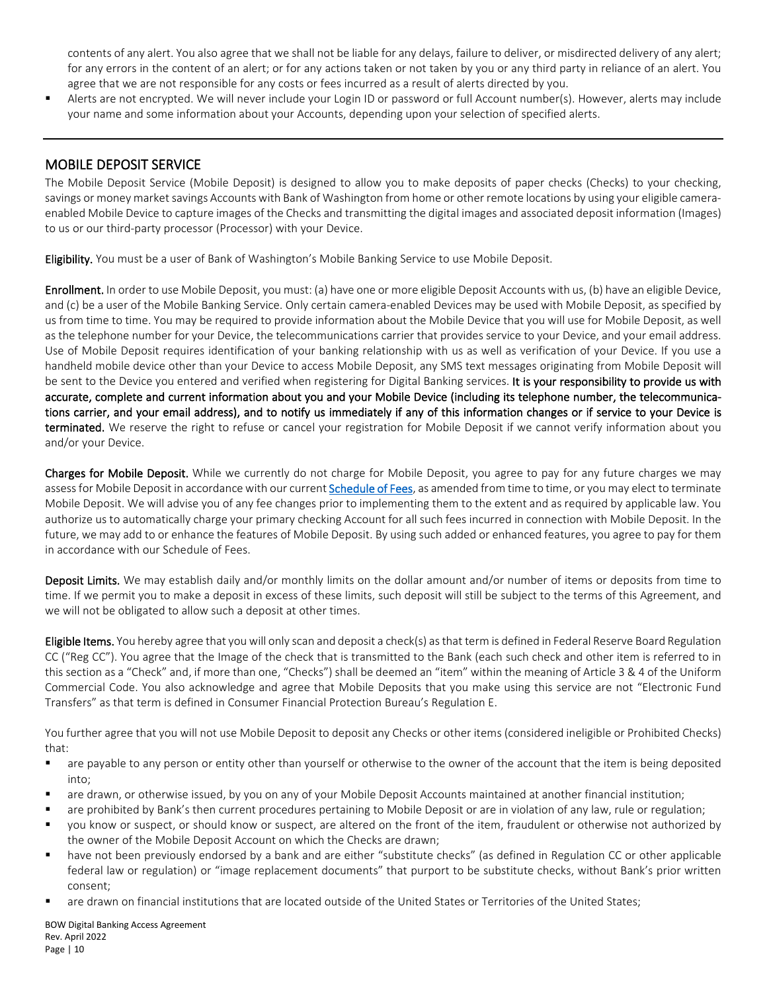contents of any alert. You also agree that we shall not be liable for any delays, failure to deliver, or misdirected delivery of any alert; for any errors in the content of an alert; or for any actions taken or not taken by you or any third party in reliance of an alert. You agree that we are not responsible for any costs or fees incurred as a result of alerts directed by you.

 Alerts are not encrypted. We will never include your Login ID or password or full Account number(s). However, alerts may include your name and some information about your Accounts, depending upon your selection of specified alerts.

# MOBILE DEPOSIT SERVICE

The Mobile Deposit Service (Mobile Deposit) is designed to allow you to make deposits of paper checks (Checks) to your checking, savings or money market savings Accounts with Bank of Washington from home or other remote locations by using your eligible cameraenabled Mobile Device to capture images of the Checks and transmitting the digital images and associated deposit information (Images) to us or our third-party processor (Processor) with your Device.

Eligibility. You must be a user of Bank of Washington's Mobile Banking Service to use Mobile Deposit.

Enrollment. In order to use Mobile Deposit, you must: (a) have one or more eligible Deposit Accounts with us, (b) have an eligible Device, and (c) be a user of the Mobile Banking Service. Only certain camera-enabled Devices may be used with Mobile Deposit, as specified by us from time to time. You may be required to provide information about the Mobile Device that you will use for Mobile Deposit, as well as the telephone number for your Device, the telecommunications carrier that provides service to your Device, and your email address. Use of Mobile Deposit requires identification of your banking relationship with us as well as verification of your Device. If you use a handheld mobile device other than your Device to access Mobile Deposit, any SMS text messages originating from Mobile Deposit will be sent to the Device you entered and verified when registering for Digital Banking services. It is your responsibility to provide us with accurate, complete and current information about you and your Mobile Device (including its telephone number, the telecommunications carrier, and your email address), and to notify us immediately if any of this information changes or if service to your Device is terminated. We reserve the right to refuse or cancel your registration for Mobile Deposit if we cannot verify information about you and/or your Device.

Charges for Mobile Deposit. While we currently do not charge for Mobile Deposit, you agree to pay for any future charges we may assess for Mobile Deposit in accordance with our current [Schedule of Fees,](https://www.bankofwashington.com/about-us/schedule-of-fees) as amended from time to time, or you may elect to terminate Mobile Deposit. We will advise you of any fee changes prior to implementing them to the extent and as required by applicable law. You authorize us to automatically charge your primary checking Account for all such fees incurred in connection with Mobile Deposit. In the future, we may add to or enhance the features of Mobile Deposit. By using such added or enhanced features, you agree to pay for them in accordance with our Schedule of Fees.

Deposit Limits. We may establish daily and/or monthly limits on the dollar amount and/or number of items or deposits from time to time. If we permit you to make a deposit in excess of these limits, such deposit will still be subject to the terms of this Agreement, and we will not be obligated to allow such a deposit at other times.

Eligible Items. You hereby agree that you will only scan and deposit a check(s) as that term is defined in Federal Reserve Board Regulation CC ("Reg CC"). You agree that the Image of the check that is transmitted to the Bank (each such check and other item is referred to in this section as a "Check" and, if more than one, "Checks") shall be deemed an "item" within the meaning of Article 3 & 4 of the Uniform Commercial Code. You also acknowledge and agree that Mobile Deposits that you make using this service are not "Electronic Fund Transfers" as that term is defined in Consumer Financial Protection Bureau's Regulation E.

You further agree that you will not use Mobile Deposit to deposit any Checks or other items (considered ineligible or Prohibited Checks) that:

- **•** are payable to any person or entity other than yourself or otherwise to the owner of the account that the item is being deposited into;
- are drawn, or otherwise issued, by you on any of your Mobile Deposit Accounts maintained at another financial institution;
- are prohibited by Bank's then current procedures pertaining to Mobile Deposit or are in violation of any law, rule or regulation;
- you know or suspect, or should know or suspect, are altered on the front of the item, fraudulent or otherwise not authorized by the owner of the Mobile Deposit Account on which the Checks are drawn;
- have not been previously endorsed by a bank and are either "substitute checks" (as defined in Regulation CC or other applicable federal law or regulation) or "image replacement documents" that purport to be substitute checks, without Bank's prior written consent;
- are drawn on financial institutions that are located outside of the United States or Territories of the United States;

BOW Digital Banking Access Agreement Rev. April 2022 Page | 10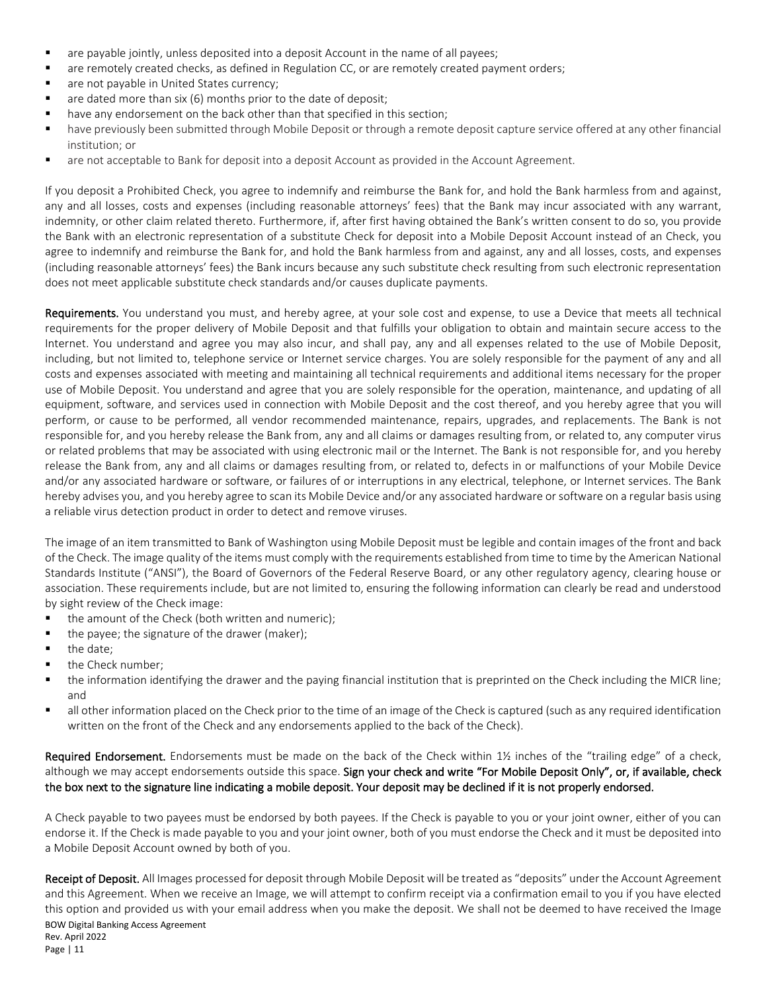- are payable jointly, unless deposited into a deposit Account in the name of all payees;
- **•** are remotely created checks, as defined in Regulation CC, or are remotely created payment orders;
- are not payable in United States currency;
- are dated more than six (6) months prior to the date of deposit;
- have any endorsement on the back other than that specified in this section;
- have previously been submitted through Mobile Deposit or through a remote deposit capture service offered at any other financial institution; or
- are not acceptable to Bank for deposit into a deposit Account as provided in the Account Agreement.

If you deposit a Prohibited Check, you agree to indemnify and reimburse the Bank for, and hold the Bank harmless from and against, any and all losses, costs and expenses (including reasonable attorneys' fees) that the Bank may incur associated with any warrant, indemnity, or other claim related thereto. Furthermore, if, after first having obtained the Bank's written consent to do so, you provide the Bank with an electronic representation of a substitute Check for deposit into a Mobile Deposit Account instead of an Check, you agree to indemnify and reimburse the Bank for, and hold the Bank harmless from and against, any and all losses, costs, and expenses (including reasonable attorneys' fees) the Bank incurs because any such substitute check resulting from such electronic representation does not meet applicable substitute check standards and/or causes duplicate payments.

Requirements. You understand you must, and hereby agree, at your sole cost and expense, to use a Device that meets all technical requirements for the proper delivery of Mobile Deposit and that fulfills your obligation to obtain and maintain secure access to the Internet. You understand and agree you may also incur, and shall pay, any and all expenses related to the use of Mobile Deposit, including, but not limited to, telephone service or Internet service charges. You are solely responsible for the payment of any and all costs and expenses associated with meeting and maintaining all technical requirements and additional items necessary for the proper use of Mobile Deposit. You understand and agree that you are solely responsible for the operation, maintenance, and updating of all equipment, software, and services used in connection with Mobile Deposit and the cost thereof, and you hereby agree that you will perform, or cause to be performed, all vendor recommended maintenance, repairs, upgrades, and replacements. The Bank is not responsible for, and you hereby release the Bank from, any and all claims or damages resulting from, or related to, any computer virus or related problems that may be associated with using electronic mail or the Internet. The Bank is not responsible for, and you hereby release the Bank from, any and all claims or damages resulting from, or related to, defects in or malfunctions of your Mobile Device and/or any associated hardware or software, or failures of or interruptions in any electrical, telephone, or Internet services. The Bank hereby advises you, and you hereby agree to scan its Mobile Device and/or any associated hardware or software on a regular basis using a reliable virus detection product in order to detect and remove viruses.

The image of an item transmitted to Bank of Washington using Mobile Deposit must be legible and contain images of the front and back of the Check. The image quality of the items must comply with the requirements established from time to time by the American National Standards Institute ("ANSI"), the Board of Governors of the Federal Reserve Board, or any other regulatory agency, clearing house or association. These requirements include, but are not limited to, ensuring the following information can clearly be read and understood by sight review of the Check image:

- the amount of the Check (both written and numeric);
- $\blacksquare$  the payee; the signature of the drawer (maker);
- the date;
- the Check number;
- the information identifying the drawer and the paying financial institution that is preprinted on the Check including the MICR line; and
- all other information placed on the Check prior to the time of an image of the Check is captured (such as any required identification written on the front of the Check and any endorsements applied to the back of the Check).

Required Endorsement. Endorsements must be made on the back of the Check within 1½ inches of the "trailing edge" of a check, although we may accept endorsements outside this space. Sign your check and write "For Mobile Deposit Only", or, if available, check the box next to the signature line indicating a mobile deposit. Your deposit may be declined if it is not properly endorsed.

A Check payable to two payees must be endorsed by both payees. If the Check is payable to you or your joint owner, either of you can endorse it. If the Check is made payable to you and your joint owner, both of you must endorse the Check and it must be deposited into a Mobile Deposit Account owned by both of you.

BOW Digital Banking Access Agreement Rev. April 2022 Receipt of Deposit. All Images processed for deposit through Mobile Deposit will be treated as "deposits" under the Account Agreement and this Agreement. When we receive an Image, we will attempt to confirm receipt via a confirmation email to you if you have elected this option and provided us with your email address when you make the deposit. We shall not be deemed to have received the Image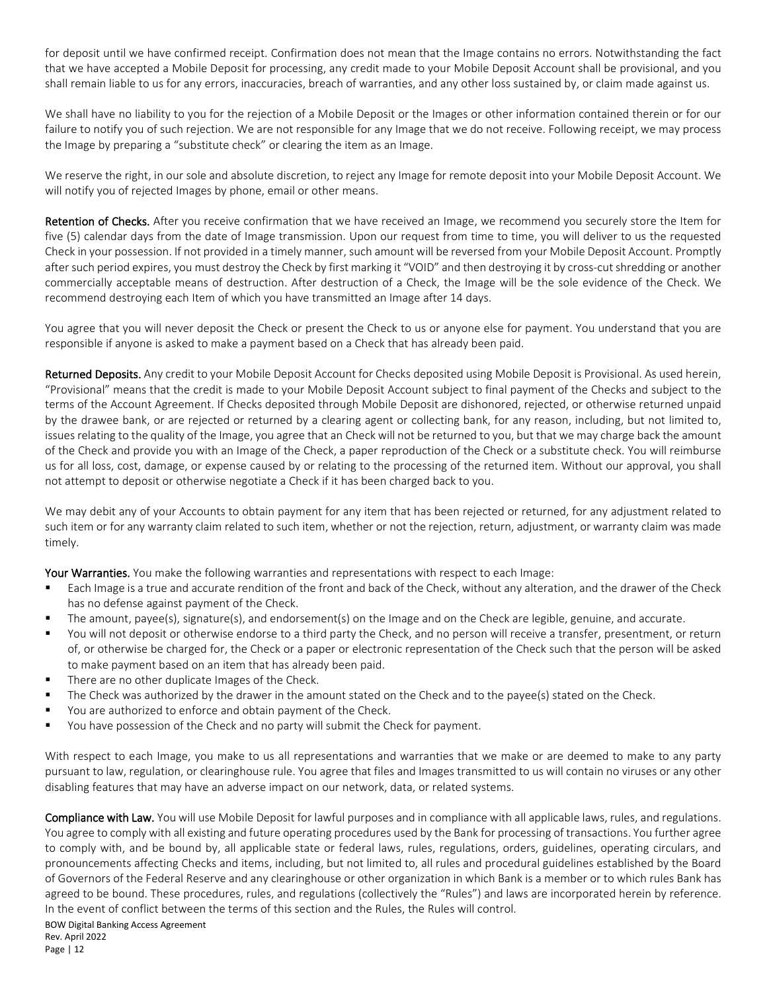for deposit until we have confirmed receipt. Confirmation does not mean that the Image contains no errors. Notwithstanding the fact that we have accepted a Mobile Deposit for processing, any credit made to your Mobile Deposit Account shall be provisional, and you shall remain liable to us for any errors, inaccuracies, breach of warranties, and any other loss sustained by, or claim made against us.

We shall have no liability to you for the rejection of a Mobile Deposit or the Images or other information contained therein or for our failure to notify you of such rejection. We are not responsible for any Image that we do not receive. Following receipt, we may process the Image by preparing a "substitute check" or clearing the item as an Image.

We reserve the right, in our sole and absolute discretion, to reject any Image for remote deposit into your Mobile Deposit Account. We will notify you of rejected Images by phone, email or other means.

Retention of Checks. After you receive confirmation that we have received an Image, we recommend you securely store the Item for five (5) calendar days from the date of Image transmission. Upon our request from time to time, you will deliver to us the requested Check in your possession. If not provided in a timely manner, such amount will be reversed from your Mobile Deposit Account. Promptly after such period expires, you must destroy the Check by first marking it "VOID" and then destroying it by cross-cut shredding or another commercially acceptable means of destruction. After destruction of a Check, the Image will be the sole evidence of the Check. We recommend destroying each Item of which you have transmitted an Image after 14 days.

You agree that you will never deposit the Check or present the Check to us or anyone else for payment. You understand that you are responsible if anyone is asked to make a payment based on a Check that has already been paid.

Returned Deposits. Any credit to your Mobile Deposit Account for Checks deposited using Mobile Deposit is Provisional. As used herein, "Provisional" means that the credit is made to your Mobile Deposit Account subject to final payment of the Checks and subject to the terms of the Account Agreement. If Checks deposited through Mobile Deposit are dishonored, rejected, or otherwise returned unpaid by the drawee bank, or are rejected or returned by a clearing agent or collecting bank, for any reason, including, but not limited to, issues relating to the quality of the Image, you agree that an Check will not be returned to you, but that we may charge back the amount of the Check and provide you with an Image of the Check, a paper reproduction of the Check or a substitute check. You will reimburse us for all loss, cost, damage, or expense caused by or relating to the processing of the returned item. Without our approval, you shall not attempt to deposit or otherwise negotiate a Check if it has been charged back to you.

We may debit any of your Accounts to obtain payment for any item that has been rejected or returned, for any adjustment related to such item or for any warranty claim related to such item, whether or not the rejection, return, adjustment, or warranty claim was made timely.

Your Warranties. You make the following warranties and representations with respect to each Image:

- Each Image is a true and accurate rendition of the front and back of the Check, without any alteration, and the drawer of the Check has no defense against payment of the Check.
- The amount, payee(s), signature(s), and endorsement(s) on the Image and on the Check are legible, genuine, and accurate.
- You will not deposit or otherwise endorse to a third party the Check, and no person will receive a transfer, presentment, or return of, or otherwise be charged for, the Check or a paper or electronic representation of the Check such that the person will be asked to make payment based on an item that has already been paid.
- There are no other duplicate Images of the Check.
- The Check was authorized by the drawer in the amount stated on the Check and to the payee(s) stated on the Check.
- You are authorized to enforce and obtain payment of the Check.
- You have possession of the Check and no party will submit the Check for payment.

With respect to each Image, you make to us all representations and warranties that we make or are deemed to make to any party pursuant to law, regulation, or clearinghouse rule. You agree that files and Images transmitted to us will contain no viruses or any other disabling features that may have an adverse impact on our network, data, or related systems.

Compliance with Law. You will use Mobile Deposit for lawful purposes and in compliance with all applicable laws, rules, and regulations. You agree to comply with all existing and future operating procedures used by the Bank for processing of transactions. You further agree to comply with, and be bound by, all applicable state or federal laws, rules, regulations, orders, guidelines, operating circulars, and pronouncements affecting Checks and items, including, but not limited to, all rules and procedural guidelines established by the Board of Governors of the Federal Reserve and any clearinghouse or other organization in which Bank is a member or to which rules Bank has agreed to be bound. These procedures, rules, and regulations (collectively the "Rules") and laws are incorporated herein by reference. In the event of conflict between the terms of this section and the Rules, the Rules will control.

#### BOW Digital Banking Access Agreement

Rev. April 2022 Page | 12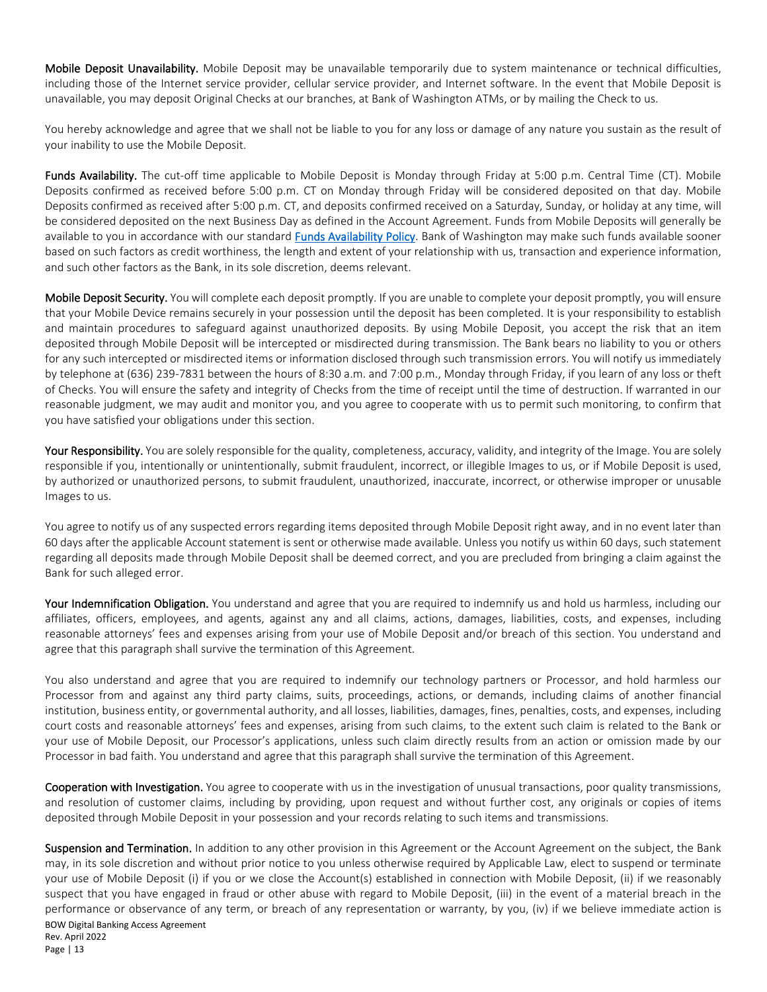Mobile Deposit Unavailability. Mobile Deposit may be unavailable temporarily due to system maintenance or technical difficulties, including those of the Internet service provider, cellular service provider, and Internet software. In the event that Mobile Deposit is unavailable, you may deposit Original Checks at our branches, at Bank of Washington ATMs, or by mailing the Check to us.

You hereby acknowledge and agree that we shall not be liable to you for any loss or damage of any nature you sustain as the result of your inability to use the Mobile Deposit.

Funds Availability. The cut-off time applicable to Mobile Deposit is Monday through Friday at 5:00 p.m. Central Time (CT). Mobile Deposits confirmed as received before 5:00 p.m. CT on Monday through Friday will be considered deposited on that day. Mobile Deposits confirmed as received after 5:00 p.m. CT, and deposits confirmed received on a Saturday, Sunday, or holiday at any time, will be considered deposited on the next Business Day as defined in the Account Agreement. Funds from Mobile Deposits will generally be available to you in accordance with our standard [Funds Availability Policy.](https://www.bankofwashington.com/about-us/funds-availability-disclosure) Bank of Washington may make such funds available sooner based on such factors as credit worthiness, the length and extent of your relationship with us, transaction and experience information, and such other factors as the Bank, in its sole discretion, deems relevant.

Mobile Deposit Security. You will complete each deposit promptly. If you are unable to complete your deposit promptly, you will ensure that your Mobile Device remains securely in your possession until the deposit has been completed. It is your responsibility to establish and maintain procedures to safeguard against unauthorized deposits. By using Mobile Deposit, you accept the risk that an item deposited through Mobile Deposit will be intercepted or misdirected during transmission. The Bank bears no liability to you or others for any such intercepted or misdirected items or information disclosed through such transmission errors. You will notify us immediately by telephone at (636) 239-7831 between the hours of 8:30 a.m. and 7:00 p.m., Monday through Friday, if you learn of any loss or theft of Checks. You will ensure the safety and integrity of Checks from the time of receipt until the time of destruction. If warranted in our reasonable judgment, we may audit and monitor you, and you agree to cooperate with us to permit such monitoring, to confirm that you have satisfied your obligations under this section.

Your Responsibility. You are solely responsible for the quality, completeness, accuracy, validity, and integrity of the Image. You are solely responsible if you, intentionally or unintentionally, submit fraudulent, incorrect, or illegible Images to us, or if Mobile Deposit is used, by authorized or unauthorized persons, to submit fraudulent, unauthorized, inaccurate, incorrect, or otherwise improper or unusable Images to us.

You agree to notify us of any suspected errors regarding items deposited through Mobile Deposit right away, and in no event later than 60 days after the applicable Account statement is sent or otherwise made available. Unless you notify us within 60 days, such statement regarding all deposits made through Mobile Deposit shall be deemed correct, and you are precluded from bringing a claim against the Bank for such alleged error.

Your Indemnification Obligation. You understand and agree that you are required to indemnify us and hold us harmless, including our affiliates, officers, employees, and agents, against any and all claims, actions, damages, liabilities, costs, and expenses, including reasonable attorneys' fees and expenses arising from your use of Mobile Deposit and/or breach of this section. You understand and agree that this paragraph shall survive the termination of this Agreement.

You also understand and agree that you are required to indemnify our technology partners or Processor, and hold harmless our Processor from and against any third party claims, suits, proceedings, actions, or demands, including claims of another financial institution, business entity, or governmental authority, and all losses, liabilities, damages, fines, penalties, costs, and expenses, including court costs and reasonable attorneys' fees and expenses, arising from such claims, to the extent such claim is related to the Bank or your use of Mobile Deposit, our Processor's applications, unless such claim directly results from an action or omission made by our Processor in bad faith. You understand and agree that this paragraph shall survive the termination of this Agreement.

Cooperation with Investigation. You agree to cooperate with us in the investigation of unusual transactions, poor quality transmissions, and resolution of customer claims, including by providing, upon request and without further cost, any originals or copies of items deposited through Mobile Deposit in your possession and your records relating to such items and transmissions.

BOW Digital Banking Access Agreement Rev. April 2022 Suspension and Termination. In addition to any other provision in this Agreement or the Account Agreement on the subject, the Bank may, in its sole discretion and without prior notice to you unless otherwise required by Applicable Law, elect to suspend or terminate your use of Mobile Deposit (i) if you or we close the Account(s) established in connection with Mobile Deposit, (ii) if we reasonably suspect that you have engaged in fraud or other abuse with regard to Mobile Deposit, (iii) in the event of a material breach in the performance or observance of any term, or breach of any representation or warranty, by you, (iv) if we believe immediate action is

Page | 13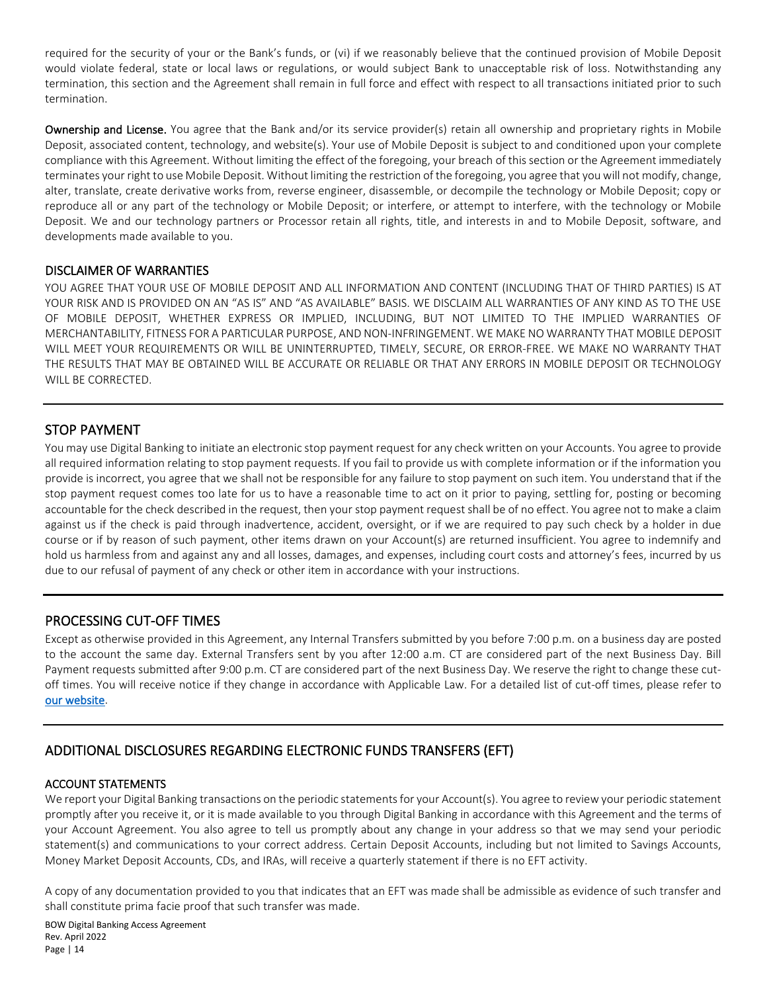required for the security of your or the Bank's funds, or (vi) if we reasonably believe that the continued provision of Mobile Deposit would violate federal, state or local laws or regulations, or would subject Bank to unacceptable risk of loss. Notwithstanding any termination, this section and the Agreement shall remain in full force and effect with respect to all transactions initiated prior to such termination.

Ownership and License. You agree that the Bank and/or its service provider(s) retain all ownership and proprietary rights in Mobile Deposit, associated content, technology, and website(s). Your use of Mobile Deposit is subject to and conditioned upon your complete compliance with this Agreement. Without limiting the effect of the foregoing, your breach of this section or the Agreement immediately terminates your right to use Mobile Deposit. Without limiting the restriction of the foregoing, you agree that you will not modify, change, alter, translate, create derivative works from, reverse engineer, disassemble, or decompile the technology or Mobile Deposit; copy or reproduce all or any part of the technology or Mobile Deposit; or interfere, or attempt to interfere, with the technology or Mobile Deposit. We and our technology partners or Processor retain all rights, title, and interests in and to Mobile Deposit, software, and developments made available to you.

#### DISCLAIMER OF WARRANTIES

YOU AGREE THAT YOUR USE OF MOBILE DEPOSIT AND ALL INFORMATION AND CONTENT (INCLUDING THAT OF THIRD PARTIES) IS AT YOUR RISK AND IS PROVIDED ON AN "AS IS" AND "AS AVAILABLE" BASIS. WE DISCLAIM ALL WARRANTIES OF ANY KIND AS TO THE USE OF MOBILE DEPOSIT, WHETHER EXPRESS OR IMPLIED, INCLUDING, BUT NOT LIMITED TO THE IMPLIED WARRANTIES OF MERCHANTABILITY, FITNESS FOR A PARTICULAR PURPOSE, AND NON-INFRINGEMENT. WE MAKE NO WARRANTY THAT MOBILE DEPOSIT WILL MEET YOUR REQUIREMENTS OR WILL BE UNINTERRUPTED, TIMELY, SECURE, OR ERROR-FREE. WE MAKE NO WARRANTY THAT THE RESULTS THAT MAY BE OBTAINED WILL BE ACCURATE OR RELIABLE OR THAT ANY ERRORS IN MOBILE DEPOSIT OR TECHNOLOGY WILL BE CORRECTED.

## STOP PAYMENT

You may use Digital Banking to initiate an electronic stop payment request for any check written on your Accounts. You agree to provide all required information relating to stop payment requests. If you fail to provide us with complete information or if the information you provide is incorrect, you agree that we shall not be responsible for any failure to stop payment on such item. You understand that if the stop payment request comes too late for us to have a reasonable time to act on it prior to paying, settling for, posting or becoming accountable for the check described in the request, then your stop payment request shall be of no effect. You agree not to make a claim against us if the check is paid through inadvertence, accident, oversight, or if we are required to pay such check by a holder in due course or if by reason of such payment, other items drawn on your Account(s) are returned insufficient. You agree to indemnify and hold us harmless from and against any and all losses, damages, and expenses, including court costs and attorney's fees, incurred by us due to our refusal of payment of any check or other item in accordance with your instructions.

## PROCESSING CUT-OFF TIMES

Except as otherwise provided in this Agreement, any Internal Transfers submitted by you before 7:00 p.m. on a business day are posted to the account the same day. External Transfers sent by you after 12:00 a.m. CT are considered part of the next Business Day. Bill Payment requests submitted after 9:00 p.m. CT are considered part of the next Business Day. We reserve the right to change these cutoff times. You will receive notice if they change in accordance with Applicable Law. For a detailed list of cut-off times, please refer to [our website.](https://www.bankofwashington.com/cutoff)

# ADDITIONAL DISCLOSURES REGARDING ELECTRONIC FUNDS TRANSFERS (EFT)

#### ACCOUNT STATEMENTS

We report your Digital Banking transactions on the periodic statements for your Account(s). You agree to review your periodic statement promptly after you receive it, or it is made available to you through Digital Banking in accordance with this Agreement and the terms of your Account Agreement. You also agree to tell us promptly about any change in your address so that we may send your periodic statement(s) and communications to your correct address. Certain Deposit Accounts, including but not limited to Savings Accounts, Money Market Deposit Accounts, CDs, and IRAs, will receive a quarterly statement if there is no EFT activity.

A copy of any documentation provided to you that indicates that an EFT was made shall be admissible as evidence of such transfer and shall constitute prima facie proof that such transfer was made.

BOW Digital Banking Access Agreement Rev. April 2022 Page | 14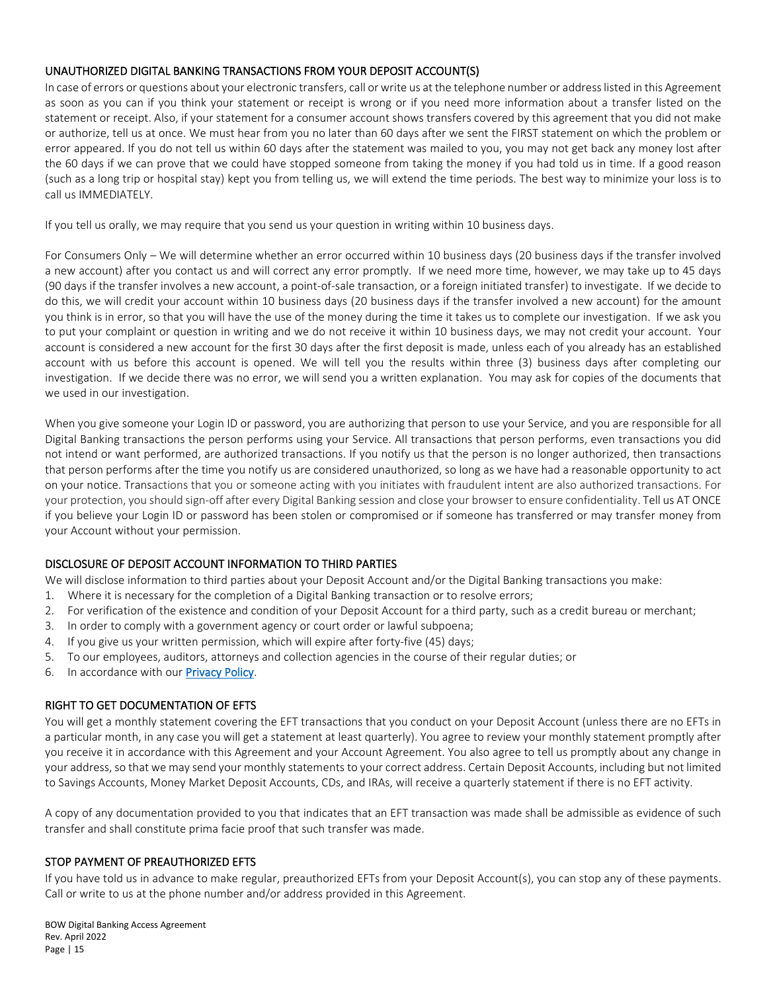#### UNAUTHORIZED DIGITAL BANKING TRANSACTIONS FROM YOUR DEPOSIT ACCOUNT(S)

In case of errors or questions about your electronic transfers, call or write us at the telephone number or address listed in this Agreement as soon as you can if you think your statement or receipt is wrong or if you need more information about a transfer listed on the statement or receipt. Also, if your statement for a consumer account shows transfers covered by this agreement that you did not make or authorize, tell us at once. We must hear from you no later than 60 days after we sent the FIRST statement on which the problem or error appeared. If you do not tell us within 60 days after the statement was mailed to you, you may not get back any money lost after the 60 days if we can prove that we could have stopped someone from taking the money if you had told us in time. If a good reason (such as a long trip or hospital stay) kept you from telling us, we will extend the time periods. The best way to minimize your loss is to call us IMMEDIATELY.

If you tell us orally, we may require that you send us your question in writing within 10 business days.

For Consumers Only – We will determine whether an error occurred within 10 business days (20 business days if the transfer involved a new account) after you contact us and will correct any error promptly. If we need more time, however, we may take up to 45 days (90 days if the transfer involves a new account, a point-of-sale transaction, or a foreign initiated transfer) to investigate. If we decide to do this, we will credit your account within 10 business days (20 business days if the transfer involved a new account) for the amount you think is in error, so that you will have the use of the money during the time it takes us to complete our investigation. If we ask you to put your complaint or question in writing and we do not receive it within 10 business days, we may not credit your account. Your account is considered a new account for the first 30 days after the first deposit is made, unless each of you already has an established account with us before this account is opened. We will tell you the results within three (3) business days after completing our investigation. If we decide there was no error, we will send you a written explanation. You may ask for copies of the documents that we used in our investigation.

When you give someone your Login ID or password, you are authorizing that person to use your Service, and you are responsible for all Digital Banking transactions the person performs using your Service. All transactions that person performs, even transactions you did not intend or want performed, are authorized transactions. If you notify us that the person is no longer authorized, then transactions that person performs after the time you notify us are considered unauthorized, so long as we have had a reasonable opportunity to act on your notice. Transactions that you or someone acting with you initiates with fraudulent intent are also authorized transactions. For your protection, you should sign-off after every Digital Banking session and close your browser to ensure confidentiality. Tell us AT ONCE if you believe your Login ID or password has been stolen or compromised or if someone has transferred or may transfer money from your Account without your permission.

#### DISCLOSURE OF DEPOSIT ACCOUNT INFORMATION TO THIRD PARTIES

We will disclose information to third parties about your Deposit Account and/or the Digital Banking transactions you make:

- 1. Where it is necessary for the completion of a Digital Banking transaction or to resolve errors;
- 2. For verification of the existence and condition of your Deposit Account for a third party, such as a credit bureau or merchant;
- 3. In order to comply with a government agency or court order or lawful subpoena;
- 4. If you give us your written permission, which will expire after forty-five (45) days;
- 5. To our employees, auditors, attorneys and collection agencies in the course of their regular duties; or
- 6. In accordance with our [Privacy Policy.](https://www.bankofwashington.com/about-us/privacy-policy)

#### RIGHT TO GET DOCUMENTATION OF EFTS

You will get a monthly statement covering the EFT transactions that you conduct on your Deposit Account (unless there are no EFTs in a particular month, in any case you will get a statement at least quarterly). You agree to review your monthly statement promptly after you receive it in accordance with this Agreement and your Account Agreement. You also agree to tell us promptly about any change in your address, so that we may send your monthly statements to your correct address. Certain Deposit Accounts, including but not limited to Savings Accounts, Money Market Deposit Accounts, CDs, and IRAs, will receive a quarterly statement if there is no EFT activity.

A copy of any documentation provided to you that indicates that an EFT transaction was made shall be admissible as evidence of such transfer and shall constitute prima facie proof that such transfer was made.

#### STOP PAYMENT OF PREAUTHORIZED EFTS

If you have told us in advance to make regular, preauthorized EFTs from your Deposit Account(s), you can stop any of these payments. Call or write to us at the phone number and/or address provided in this Agreement.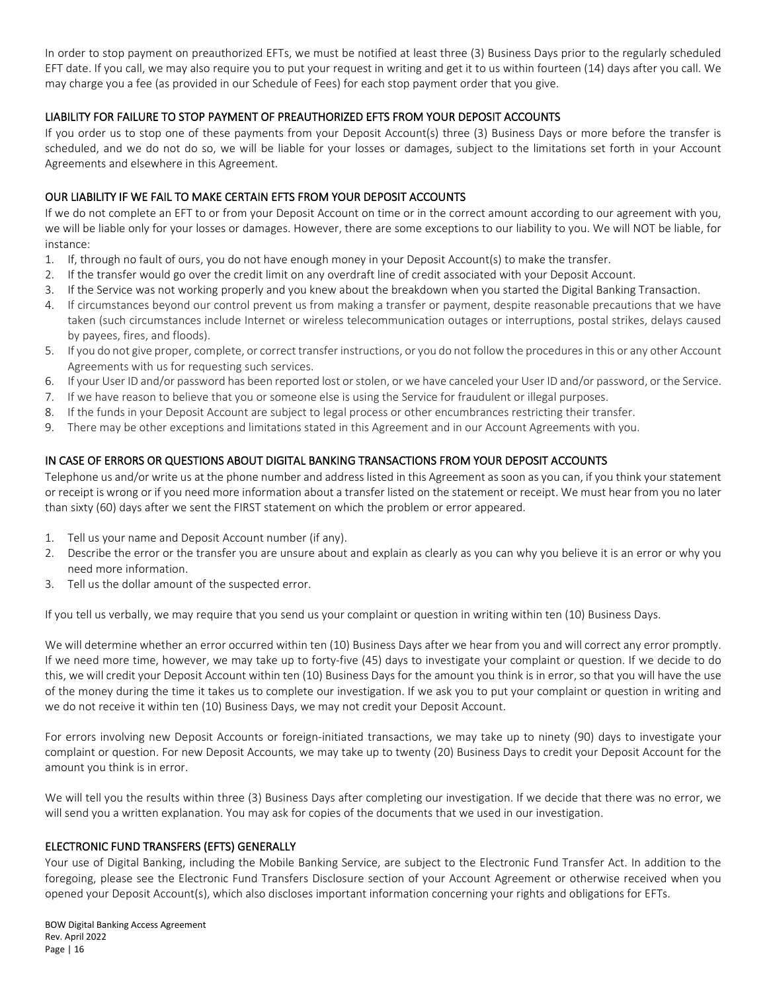In order to stop payment on preauthorized EFTs, we must be notified at least three (3) Business Days prior to the regularly scheduled EFT date. If you call, we may also require you to put your request in writing and get it to us within fourteen (14) days after you call. We may charge you a fee (as provided in our Schedule of Fees) for each stop payment order that you give.

#### LIABILITY FOR FAILURE TO STOP PAYMENT OF PREAUTHORIZED EFTS FROM YOUR DEPOSIT ACCOUNTS

If you order us to stop one of these payments from your Deposit Account(s) three (3) Business Days or more before the transfer is scheduled, and we do not do so, we will be liable for your losses or damages, subject to the limitations set forth in your Account Agreements and elsewhere in this Agreement.

#### OUR LIABILITY IF WE FAIL TO MAKE CERTAIN EFTS FROM YOUR DEPOSIT ACCOUNTS

If we do not complete an EFT to or from your Deposit Account on time or in the correct amount according to our agreement with you, we will be liable only for your losses or damages. However, there are some exceptions to our liability to you. We will NOT be liable, for instance:

- 1. If, through no fault of ours, you do not have enough money in your Deposit Account(s) to make the transfer.
- 2. If the transfer would go over the credit limit on any overdraft line of credit associated with your Deposit Account.
- 3. If the Service was not working properly and you knew about the breakdown when you started the Digital Banking Transaction.
- 4. If circumstances beyond our control prevent us from making a transfer or payment, despite reasonable precautions that we have taken (such circumstances include Internet or wireless telecommunication outages or interruptions, postal strikes, delays caused by payees, fires, and floods).
- 5. If you do not give proper, complete, or correct transfer instructions, or you do not follow the procedures in this or any other Account Agreements with us for requesting such services.
- 6. If your User ID and/or password has been reported lost or stolen, or we have canceled your User ID and/or password, or the Service.
- 7. If we have reason to believe that you or someone else is using the Service for fraudulent or illegal purposes.
- 8. If the funds in your Deposit Account are subject to legal process or other encumbrances restricting their transfer.
- 9. There may be other exceptions and limitations stated in this Agreement and in our Account Agreements with you.

#### IN CASE OF ERRORS OR QUESTIONS ABOUT DIGITAL BANKING TRANSACTIONS FROM YOUR DEPOSIT ACCOUNTS

Telephone us and/or write us at the phone number and address listed in this Agreement as soon as you can, if you think your statement or receipt is wrong or if you need more information about a transfer listed on the statement or receipt. We must hear from you no later than sixty (60) days after we sent the FIRST statement on which the problem or error appeared.

- 1. Tell us your name and Deposit Account number (if any).
- 2. Describe the error or the transfer you are unsure about and explain as clearly as you can why you believe it is an error or why you need more information.
- 3. Tell us the dollar amount of the suspected error.

If you tell us verbally, we may require that you send us your complaint or question in writing within ten (10) Business Days.

We will determine whether an error occurred within ten (10) Business Days after we hear from you and will correct any error promptly. If we need more time, however, we may take up to forty-five (45) days to investigate your complaint or question. If we decide to do this, we will credit your Deposit Account within ten (10) Business Days for the amount you think is in error, so that you will have the use of the money during the time it takes us to complete our investigation. If we ask you to put your complaint or question in writing and we do not receive it within ten (10) Business Days, we may not credit your Deposit Account.

For errors involving new Deposit Accounts or foreign-initiated transactions, we may take up to ninety (90) days to investigate your complaint or question. For new Deposit Accounts, we may take up to twenty (20) Business Days to credit your Deposit Account for the amount you think is in error.

We will tell you the results within three (3) Business Days after completing our investigation. If we decide that there was no error, we will send you a written explanation. You may ask for copies of the documents that we used in our investigation.

#### ELECTRONIC FUND TRANSFERS (EFTS) GENERALLY

Your use of Digital Banking, including the Mobile Banking Service, are subject to the Electronic Fund Transfer Act. In addition to the foregoing, please see the Electronic Fund Transfers Disclosure section of your Account Agreement or otherwise received when you opened your Deposit Account(s), which also discloses important information concerning your rights and obligations for EFTs.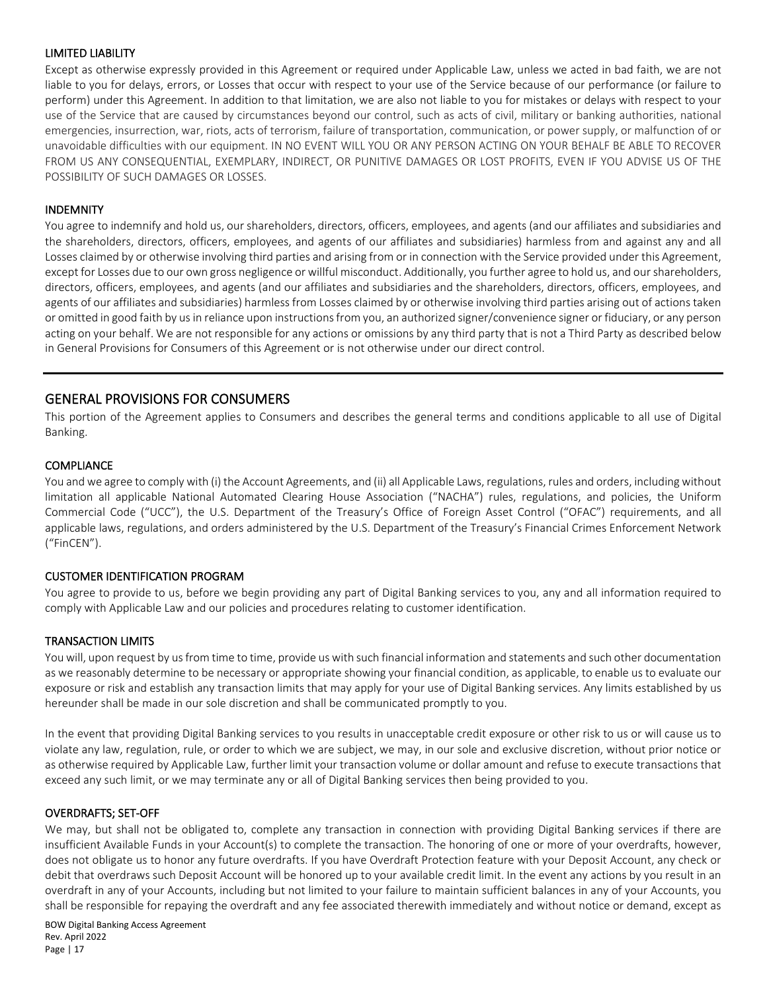#### LIMITED LIABILITY

Except as otherwise expressly provided in this Agreement or required under Applicable Law, unless we acted in bad faith, we are not liable to you for delays, errors, or Losses that occur with respect to your use of the Service because of our performance (or failure to perform) under this Agreement. In addition to that limitation, we are also not liable to you for mistakes or delays with respect to your use of the Service that are caused by circumstances beyond our control, such as acts of civil, military or banking authorities, national emergencies, insurrection, war, riots, acts of terrorism, failure of transportation, communication, or power supply, or malfunction of or unavoidable difficulties with our equipment. IN NO EVENT WILL YOU OR ANY PERSON ACTING ON YOUR BEHALF BE ABLE TO RECOVER FROM US ANY CONSEQUENTIAL, EXEMPLARY, INDIRECT, OR PUNITIVE DAMAGES OR LOST PROFITS, EVEN IF YOU ADVISE US OF THE POSSIBILITY OF SUCH DAMAGES OR LOSSES.

#### INDEMNITY

You agree to indemnify and hold us, our shareholders, directors, officers, employees, and agents (and our affiliates and subsidiaries and the shareholders, directors, officers, employees, and agents of our affiliates and subsidiaries) harmless from and against any and all Losses claimed by or otherwise involving third parties and arising from or in connection with the Service provided under this Agreement, except for Losses due to our own gross negligence or willful misconduct. Additionally, you further agree to hold us, and our shareholders, directors, officers, employees, and agents (and our affiliates and subsidiaries and the shareholders, directors, officers, employees, and agents of our affiliates and subsidiaries) harmless from Losses claimed by or otherwise involving third parties arising out of actions taken or omitted in good faith by us in reliance upon instructions from you, an authorized signer/convenience signer or fiduciary, or any person acting on your behalf. We are not responsible for any actions or omissions by any third party that is not a Third Party as described below in General Provisions for Consumers of this Agreement or is not otherwise under our direct control.

### GENERAL PROVISIONS FOR CONSUMERS

This portion of the Agreement applies to Consumers and describes the general terms and conditions applicable to all use of Digital Banking.

#### **COMPLIANCE**

You and we agree to comply with (i) the Account Agreements, and (ii) all Applicable Laws, regulations, rules and orders, including without limitation all applicable National Automated Clearing House Association ("NACHA") rules, regulations, and policies, the Uniform Commercial Code ("UCC"), the U.S. Department of the Treasury's Office of Foreign Asset Control ("OFAC") requirements, and all applicable laws, regulations, and orders administered by the U.S. Department of the Treasury's Financial Crimes Enforcement Network ("FinCEN").

#### CUSTOMER IDENTIFICATION PROGRAM

You agree to provide to us, before we begin providing any part of Digital Banking services to you, any and all information required to comply with Applicable Law and our policies and procedures relating to customer identification.

#### TRANSACTION LIMITS

You will, upon request by us from time to time, provide us with such financial information and statements and such other documentation as we reasonably determine to be necessary or appropriate showing your financial condition, as applicable, to enable us to evaluate our exposure or risk and establish any transaction limits that may apply for your use of Digital Banking services. Any limits established by us hereunder shall be made in our sole discretion and shall be communicated promptly to you.

In the event that providing Digital Banking services to you results in unacceptable credit exposure or other risk to us or will cause us to violate any law, regulation, rule, or order to which we are subject, we may, in our sole and exclusive discretion, without prior notice or as otherwise required by Applicable Law, further limit your transaction volume or dollar amount and refuse to execute transactions that exceed any such limit, or we may terminate any or all of Digital Banking services then being provided to you.

#### OVERDRAFTS; SET-OFF

We may, but shall not be obligated to, complete any transaction in connection with providing Digital Banking services if there are insufficient Available Funds in your Account(s) to complete the transaction. The honoring of one or more of your overdrafts, however, does not obligate us to honor any future overdrafts. If you have Overdraft Protection feature with your Deposit Account, any check or debit that overdraws such Deposit Account will be honored up to your available credit limit. In the event any actions by you result in an overdraft in any of your Accounts, including but not limited to your failure to maintain sufficient balances in any of your Accounts, you shall be responsible for repaying the overdraft and any fee associated therewith immediately and without notice or demand, except as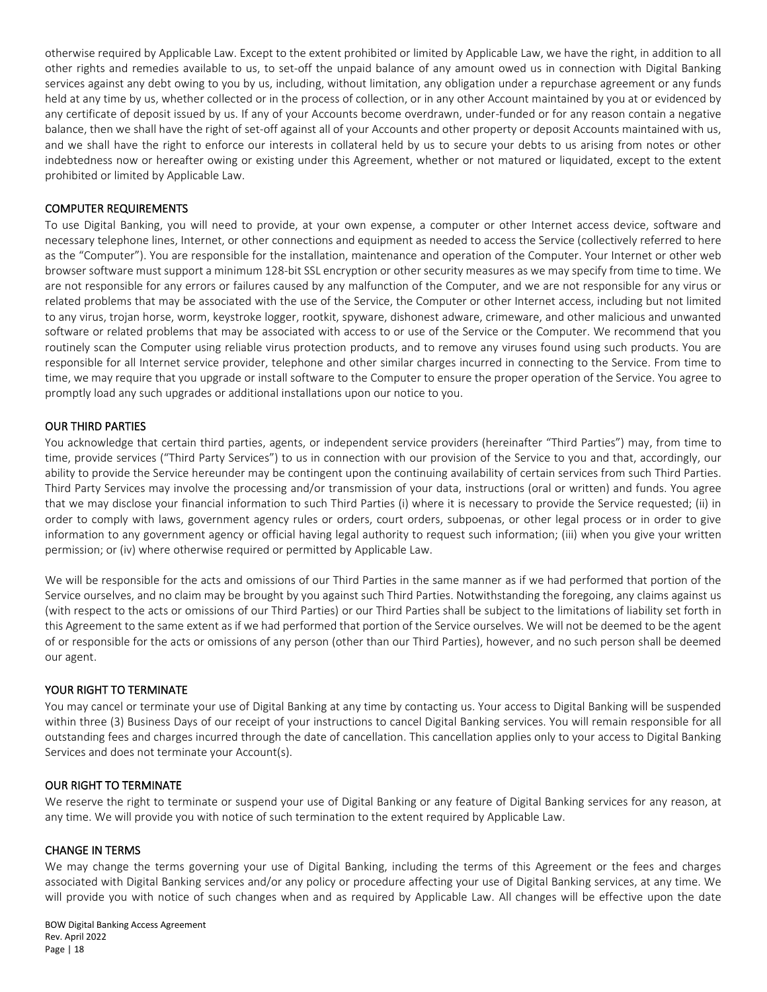otherwise required by Applicable Law. Except to the extent prohibited or limited by Applicable Law, we have the right, in addition to all other rights and remedies available to us, to set-off the unpaid balance of any amount owed us in connection with Digital Banking services against any debt owing to you by us, including, without limitation, any obligation under a repurchase agreement or any funds held at any time by us, whether collected or in the process of collection, or in any other Account maintained by you at or evidenced by any certificate of deposit issued by us. If any of your Accounts become overdrawn, under-funded or for any reason contain a negative balance, then we shall have the right of set-off against all of your Accounts and other property or deposit Accounts maintained with us, and we shall have the right to enforce our interests in collateral held by us to secure your debts to us arising from notes or other indebtedness now or hereafter owing or existing under this Agreement, whether or not matured or liquidated, except to the extent prohibited or limited by Applicable Law.

#### COMPUTER REQUIREMENTS

To use Digital Banking, you will need to provide, at your own expense, a computer or other Internet access device, software and necessary telephone lines, Internet, or other connections and equipment as needed to access the Service (collectively referred to here as the "Computer"). You are responsible for the installation, maintenance and operation of the Computer. Your Internet or other web browser software must support a minimum 128-bit SSL encryption or other security measures as we may specify from time to time. We are not responsible for any errors or failures caused by any malfunction of the Computer, and we are not responsible for any virus or related problems that may be associated with the use of the Service, the Computer or other Internet access, including but not limited to any virus, trojan horse, worm, keystroke logger, rootkit, spyware, dishonest adware, crimeware, and other malicious and unwanted software or related problems that may be associated with access to or use of the Service or the Computer. We recommend that you routinely scan the Computer using reliable virus protection products, and to remove any viruses found using such products. You are responsible for all Internet service provider, telephone and other similar charges incurred in connecting to the Service. From time to time, we may require that you upgrade or install software to the Computer to ensure the proper operation of the Service. You agree to promptly load any such upgrades or additional installations upon our notice to you.

#### OUR THIRD PARTIES

You acknowledge that certain third parties, agents, or independent service providers (hereinafter "Third Parties") may, from time to time, provide services ("Third Party Services") to us in connection with our provision of the Service to you and that, accordingly, our ability to provide the Service hereunder may be contingent upon the continuing availability of certain services from such Third Parties. Third Party Services may involve the processing and/or transmission of your data, instructions (oral or written) and funds. You agree that we may disclose your financial information to such Third Parties (i) where it is necessary to provide the Service requested; (ii) in order to comply with laws, government agency rules or orders, court orders, subpoenas, or other legal process or in order to give information to any government agency or official having legal authority to request such information; (iii) when you give your written permission; or (iv) where otherwise required or permitted by Applicable Law.

We will be responsible for the acts and omissions of our Third Parties in the same manner as if we had performed that portion of the Service ourselves, and no claim may be brought by you against such Third Parties. Notwithstanding the foregoing, any claims against us (with respect to the acts or omissions of our Third Parties) or our Third Parties shall be subject to the limitations of liability set forth in this Agreement to the same extent as if we had performed that portion of the Service ourselves. We will not be deemed to be the agent of or responsible for the acts or omissions of any person (other than our Third Parties), however, and no such person shall be deemed our agent.

#### YOUR RIGHT TO TERMINATE

You may cancel or terminate your use of Digital Banking at any time by contacting us. Your access to Digital Banking will be suspended within three (3) Business Days of our receipt of your instructions to cancel Digital Banking services. You will remain responsible for all outstanding fees and charges incurred through the date of cancellation. This cancellation applies only to your access to Digital Banking Services and does not terminate your Account(s).

#### OUR RIGHT TO TERMINATE

We reserve the right to terminate or suspend your use of Digital Banking or any feature of Digital Banking services for any reason, at any time. We will provide you with notice of such termination to the extent required by Applicable Law.

#### CHANGE IN TERMS

We may change the terms governing your use of Digital Banking, including the terms of this Agreement or the fees and charges associated with Digital Banking services and/or any policy or procedure affecting your use of Digital Banking services, at any time. We will provide you with notice of such changes when and as required by Applicable Law. All changes will be effective upon the date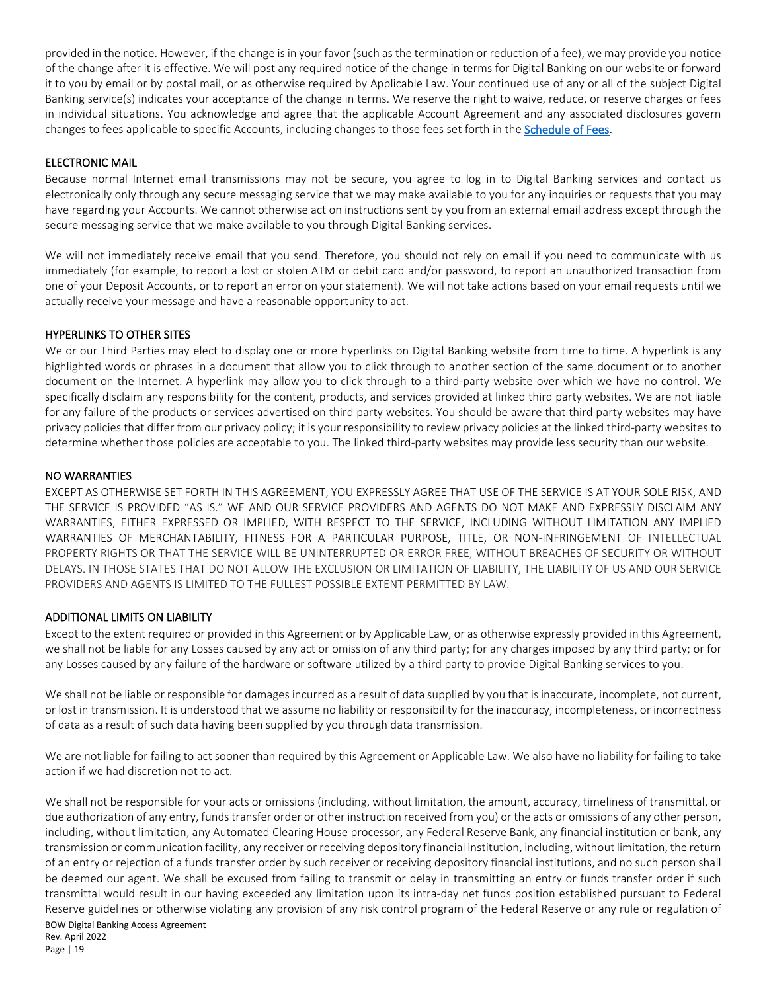provided in the notice. However, if the change is in your favor (such as the termination or reduction of a fee), we may provide you notice of the change after it is effective. We will post any required notice of the change in terms for Digital Banking on our website or forward it to you by email or by postal mail, or as otherwise required by Applicable Law. Your continued use of any or all of the subject Digital Banking service(s) indicates your acceptance of the change in terms. We reserve the right to waive, reduce, or reserve charges or fees in individual situations. You acknowledge and agree that the applicable Account Agreement and any associated disclosures govern changes to fees applicable to specific Accounts, including changes to those fees set forth in the [Schedule of Fees.](https://www.bankofwashington.com/about-us/schedule-of-fees)

#### ELECTRONIC MAIL

Because normal Internet email transmissions may not be secure, you agree to log in to Digital Banking services and contact us electronically only through any secure messaging service that we may make available to you for any inquiries or requests that you may have regarding your Accounts. We cannot otherwise act on instructions sent by you from an external email address except through the secure messaging service that we make available to you through Digital Banking services.

We will not immediately receive email that you send. Therefore, you should not rely on email if you need to communicate with us immediately (for example, to report a lost or stolen ATM or debit card and/or password, to report an unauthorized transaction from one of your Deposit Accounts, or to report an error on your statement). We will not take actions based on your email requests until we actually receive your message and have a reasonable opportunity to act.

#### HYPERLINKS TO OTHER SITES

We or our Third Parties may elect to display one or more hyperlinks on Digital Banking website from time to time. A hyperlink is any highlighted words or phrases in a document that allow you to click through to another section of the same document or to another document on the Internet. A hyperlink may allow you to click through to a third-party website over which we have no control. We specifically disclaim any responsibility for the content, products, and services provided at linked third party websites. We are not liable for any failure of the products or services advertised on third party websites. You should be aware that third party websites may have privacy policies that differ from our privacy policy; it is your responsibility to review privacy policies at the linked third-party websites to determine whether those policies are acceptable to you. The linked third-party websites may provide less security than our website.

#### NO WARRANTIES

EXCEPT AS OTHERWISE SET FORTH IN THIS AGREEMENT, YOU EXPRESSLY AGREE THAT USE OF THE SERVICE IS AT YOUR SOLE RISK, AND THE SERVICE IS PROVIDED "AS IS." WE AND OUR SERVICE PROVIDERS AND AGENTS DO NOT MAKE AND EXPRESSLY DISCLAIM ANY WARRANTIES, EITHER EXPRESSED OR IMPLIED, WITH RESPECT TO THE SERVICE, INCLUDING WITHOUT LIMITATION ANY IMPLIED WARRANTIES OF MERCHANTABILITY, FITNESS FOR A PARTICULAR PURPOSE, TITLE, OR NON-INFRINGEMENT OF INTELLECTUAL PROPERTY RIGHTS OR THAT THE SERVICE WILL BE UNINTERRUPTED OR ERROR FREE, WITHOUT BREACHES OF SECURITY OR WITHOUT DELAYS. IN THOSE STATES THAT DO NOT ALLOW THE EXCLUSION OR LIMITATION OF LIABILITY, THE LIABILITY OF US AND OUR SERVICE PROVIDERS AND AGENTS IS LIMITED TO THE FULLEST POSSIBLE EXTENT PERMITTED BY LAW.

#### ADDITIONAL LIMITS ON LIABILITY

Except to the extent required or provided in this Agreement or by Applicable Law, or as otherwise expressly provided in this Agreement, we shall not be liable for any Losses caused by any act or omission of any third party; for any charges imposed by any third party; or for any Losses caused by any failure of the hardware or software utilized by a third party to provide Digital Banking services to you.

We shall not be liable or responsible for damages incurred as a result of data supplied by you that is inaccurate, incomplete, not current, or lost in transmission. It is understood that we assume no liability or responsibility for the inaccuracy, incompleteness, or incorrectness of data as a result of such data having been supplied by you through data transmission.

We are not liable for failing to act sooner than required by this Agreement or Applicable Law. We also have no liability for failing to take action if we had discretion not to act.

BOW Digital Banking Access Agreement Rev. April 2022 We shall not be responsible for your acts or omissions (including, without limitation, the amount, accuracy, timeliness of transmittal, or due authorization of any entry, funds transfer order or other instruction received from you) or the acts or omissions of any other person, including, without limitation, any Automated Clearing House processor, any Federal Reserve Bank, any financial institution or bank, any transmission or communication facility, any receiver or receiving depository financial institution, including, without limitation, the return of an entry or rejection of a funds transfer order by such receiver or receiving depository financial institutions, and no such person shall be deemed our agent. We shall be excused from failing to transmit or delay in transmitting an entry or funds transfer order if such transmittal would result in our having exceeded any limitation upon its intra-day net funds position established pursuant to Federal Reserve guidelines or otherwise violating any provision of any risk control program of the Federal Reserve or any rule or regulation of

Page | 19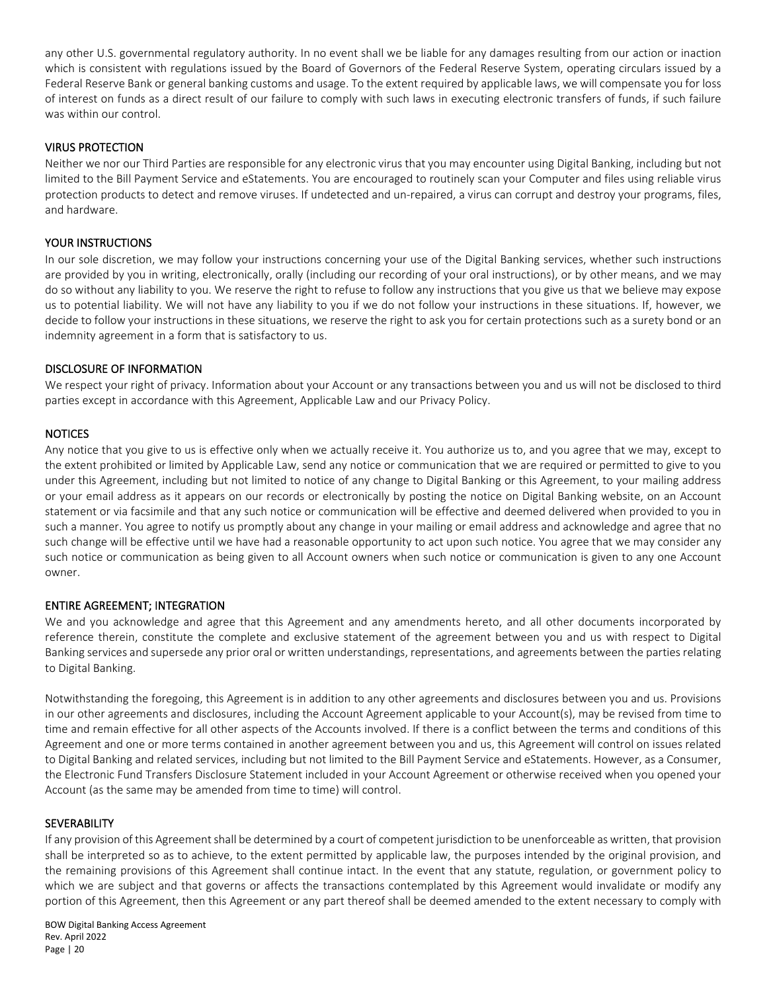any other U.S. governmental regulatory authority. In no event shall we be liable for any damages resulting from our action or inaction which is consistent with regulations issued by the Board of Governors of the Federal Reserve System, operating circulars issued by a Federal Reserve Bank or general banking customs and usage. To the extent required by applicable laws, we will compensate you for loss of interest on funds as a direct result of our failure to comply with such laws in executing electronic transfers of funds, if such failure was within our control.

#### VIRUS PROTECTION

Neither we nor our Third Parties are responsible for any electronic virus that you may encounter using Digital Banking, including but not limited to the Bill Payment Service and eStatements. You are encouraged to routinely scan your Computer and files using reliable virus protection products to detect and remove viruses. If undetected and un-repaired, a virus can corrupt and destroy your programs, files, and hardware.

#### YOUR INSTRUCTIONS

In our sole discretion, we may follow your instructions concerning your use of the Digital Banking services, whether such instructions are provided by you in writing, electronically, orally (including our recording of your oral instructions), or by other means, and we may do so without any liability to you. We reserve the right to refuse to follow any instructions that you give us that we believe may expose us to potential liability. We will not have any liability to you if we do not follow your instructions in these situations. If, however, we decide to follow your instructions in these situations, we reserve the right to ask you for certain protections such as a surety bond or an indemnity agreement in a form that is satisfactory to us.

#### DISCLOSURE OF INFORMATION

We respect your right of privacy. Information about your Account or any transactions between you and us will not be disclosed to third parties except in accordance with this Agreement, Applicable Law and our Privacy Policy.

#### **NOTICES**

Any notice that you give to us is effective only when we actually receive it. You authorize us to, and you agree that we may, except to the extent prohibited or limited by Applicable Law, send any notice or communication that we are required or permitted to give to you under this Agreement, including but not limited to notice of any change to Digital Banking or this Agreement, to your mailing address or your email address as it appears on our records or electronically by posting the notice on Digital Banking website, on an Account statement or via facsimile and that any such notice or communication will be effective and deemed delivered when provided to you in such a manner. You agree to notify us promptly about any change in your mailing or email address and acknowledge and agree that no such change will be effective until we have had a reasonable opportunity to act upon such notice. You agree that we may consider any such notice or communication as being given to all Account owners when such notice or communication is given to any one Account owner.

#### ENTIRE AGREEMENT; INTEGRATION

We and you acknowledge and agree that this Agreement and any amendments hereto, and all other documents incorporated by reference therein, constitute the complete and exclusive statement of the agreement between you and us with respect to Digital Banking services and supersede any prior oral or written understandings, representations, and agreements between the parties relating to Digital Banking.

Notwithstanding the foregoing, this Agreement is in addition to any other agreements and disclosures between you and us. Provisions in our other agreements and disclosures, including the Account Agreement applicable to your Account(s), may be revised from time to time and remain effective for all other aspects of the Accounts involved. If there is a conflict between the terms and conditions of this Agreement and one or more terms contained in another agreement between you and us, this Agreement will control on issues related to Digital Banking and related services, including but not limited to the Bill Payment Service and eStatements. However, as a Consumer, the Electronic Fund Transfers Disclosure Statement included in your Account Agreement or otherwise received when you opened your Account (as the same may be amended from time to time) will control.

#### **SEVERABILITY**

If any provision of this Agreement shall be determined by a court of competent jurisdiction to be unenforceable as written, that provision shall be interpreted so as to achieve, to the extent permitted by applicable law, the purposes intended by the original provision, and the remaining provisions of this Agreement shall continue intact. In the event that any statute, regulation, or government policy to which we are subject and that governs or affects the transactions contemplated by this Agreement would invalidate or modify any portion of this Agreement, then this Agreement or any part thereof shall be deemed amended to the extent necessary to comply with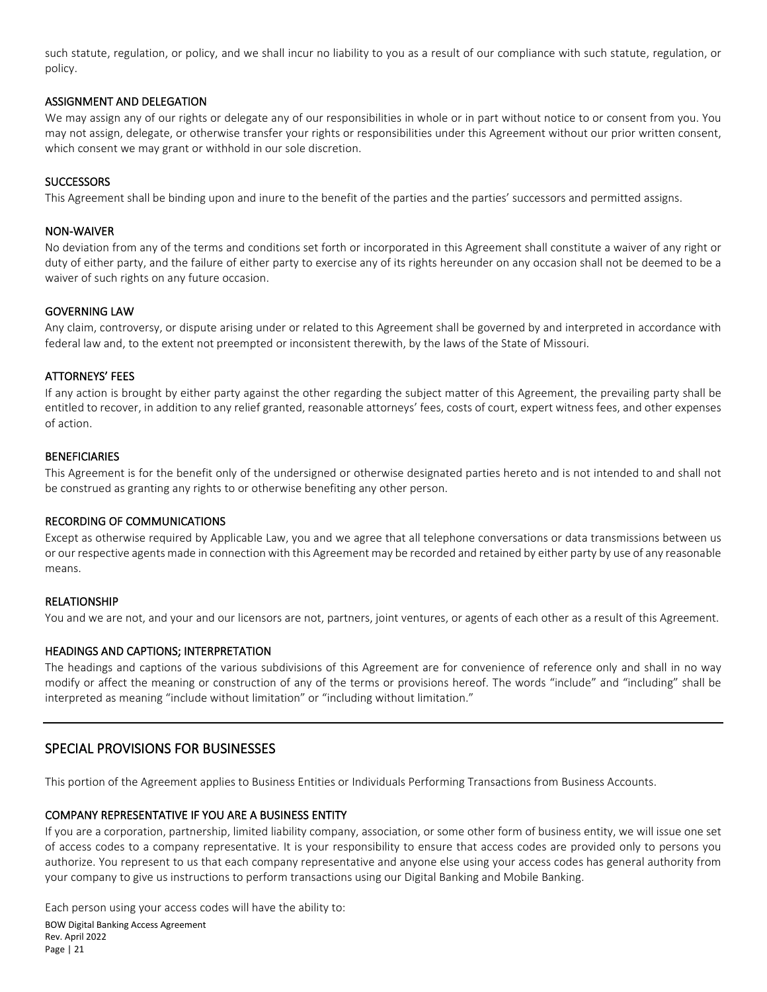such statute, regulation, or policy, and we shall incur no liability to you as a result of our compliance with such statute, regulation, or policy.

#### ASSIGNMENT AND DELEGATION

We may assign any of our rights or delegate any of our responsibilities in whole or in part without notice to or consent from you. You may not assign, delegate, or otherwise transfer your rights or responsibilities under this Agreement without our prior written consent, which consent we may grant or withhold in our sole discretion.

#### **SUCCESSORS**

This Agreement shall be binding upon and inure to the benefit of the parties and the parties' successors and permitted assigns.

#### NON-WAIVER

No deviation from any of the terms and conditions set forth or incorporated in this Agreement shall constitute a waiver of any right or duty of either party, and the failure of either party to exercise any of its rights hereunder on any occasion shall not be deemed to be a waiver of such rights on any future occasion.

#### GOVERNING LAW

Any claim, controversy, or dispute arising under or related to this Agreement shall be governed by and interpreted in accordance with federal law and, to the extent not preempted or inconsistent therewith, by the laws of the State of Missouri.

#### ATTORNEYS' FEES

If any action is brought by either party against the other regarding the subject matter of this Agreement, the prevailing party shall be entitled to recover, in addition to any relief granted, reasonable attorneys' fees, costs of court, expert witness fees, and other expenses of action.

#### **BENEFICIARIES**

This Agreement is for the benefit only of the undersigned or otherwise designated parties hereto and is not intended to and shall not be construed as granting any rights to or otherwise benefiting any other person.

#### RECORDING OF COMMUNICATIONS

Except as otherwise required by Applicable Law, you and we agree that all telephone conversations or data transmissions between us or our respective agents made in connection with this Agreement may be recorded and retained by either party by use of any reasonable means.

#### RELATIONSHIP

You and we are not, and your and our licensors are not, partners, joint ventures, or agents of each other as a result of this Agreement.

#### HEADINGS AND CAPTIONS; INTERPRETATION

The headings and captions of the various subdivisions of this Agreement are for convenience of reference only and shall in no way modify or affect the meaning or construction of any of the terms or provisions hereof. The words "include" and "including" shall be interpreted as meaning "include without limitation" or "including without limitation."

#### SPECIAL PROVISIONS FOR BUSINESSES

This portion of the Agreement applies to Business Entities or Individuals Performing Transactions from Business Accounts.

#### COMPANY REPRESENTATIVE IF YOU ARE A BUSINESS ENTITY

If you are a corporation, partnership, limited liability company, association, or some other form of business entity, we will issue one set of access codes to a company representative. It is your responsibility to ensure that access codes are provided only to persons you authorize. You represent to us that each company representative and anyone else using your access codes has general authority from your company to give us instructions to perform transactions using our Digital Banking and Mobile Banking.

BOW Digital Banking Access Agreement Rev. April 2022 Page | 21 Each person using your access codes will have the ability to: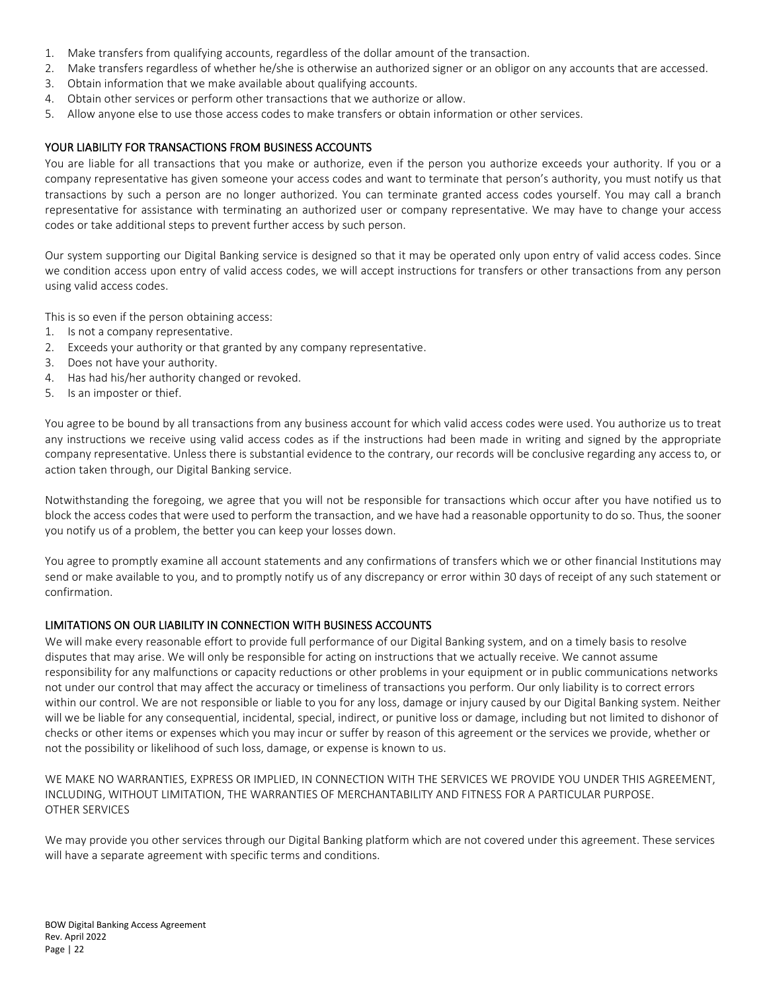- 1. Make transfers from qualifying accounts, regardless of the dollar amount of the transaction.
- 2. Make transfers regardless of whether he/she is otherwise an authorized signer or an obligor on any accounts that are accessed.
- 3. Obtain information that we make available about qualifying accounts.
- 4. Obtain other services or perform other transactions that we authorize or allow.
- 5. Allow anyone else to use those access codes to make transfers or obtain information or other services.

#### YOUR LIABILITY FOR TRANSACTIONS FROM BUSINESS ACCOUNTS

You are liable for all transactions that you make or authorize, even if the person you authorize exceeds your authority. If you or a company representative has given someone your access codes and want to terminate that person's authority, you must notify us that transactions by such a person are no longer authorized. You can terminate granted access codes yourself. You may call a branch representative for assistance with terminating an authorized user or company representative. We may have to change your access codes or take additional steps to prevent further access by such person.

Our system supporting our Digital Banking service is designed so that it may be operated only upon entry of valid access codes. Since we condition access upon entry of valid access codes, we will accept instructions for transfers or other transactions from any person using valid access codes.

This is so even if the person obtaining access:

- 1. Is not a company representative.
- 2. Exceeds your authority or that granted by any company representative.
- 3. Does not have your authority.
- 4. Has had his/her authority changed or revoked.
- 5. Is an imposter or thief.

You agree to be bound by all transactions from any business account for which valid access codes were used. You authorize us to treat any instructions we receive using valid access codes as if the instructions had been made in writing and signed by the appropriate company representative. Unless there is substantial evidence to the contrary, our records will be conclusive regarding any access to, or action taken through, our Digital Banking service.

Notwithstanding the foregoing, we agree that you will not be responsible for transactions which occur after you have notified us to block the access codes that were used to perform the transaction, and we have had a reasonable opportunity to do so. Thus, the sooner you notify us of a problem, the better you can keep your losses down.

You agree to promptly examine all account statements and any confirmations of transfers which we or other financial Institutions may send or make available to you, and to promptly notify us of any discrepancy or error within 30 days of receipt of any such statement or confirmation.

#### LIMITATIONS ON OUR LIABILITY IN CONNECTION WITH BUSINESS ACCOUNTS

We will make every reasonable effort to provide full performance of our Digital Banking system, and on a timely basis to resolve disputes that may arise. We will only be responsible for acting on instructions that we actually receive. We cannot assume responsibility for any malfunctions or capacity reductions or other problems in your equipment or in public communications networks not under our control that may affect the accuracy or timeliness of transactions you perform. Our only liability is to correct errors within our control. We are not responsible or liable to you for any loss, damage or injury caused by our Digital Banking system. Neither will we be liable for any consequential, incidental, special, indirect, or punitive loss or damage, including but not limited to dishonor of checks or other items or expenses which you may incur or suffer by reason of this agreement or the services we provide, whether or not the possibility or likelihood of such loss, damage, or expense is known to us.

WE MAKE NO WARRANTIES, EXPRESS OR IMPLIED, IN CONNECTION WITH THE SERVICES WE PROVIDE YOU UNDER THIS AGREEMENT, INCLUDING, WITHOUT LIMITATION, THE WARRANTIES OF MERCHANTABILITY AND FITNESS FOR A PARTICULAR PURPOSE. OTHER SERVICES

We may provide you other services through our Digital Banking platform which are not covered under this agreement. These services will have a separate agreement with specific terms and conditions.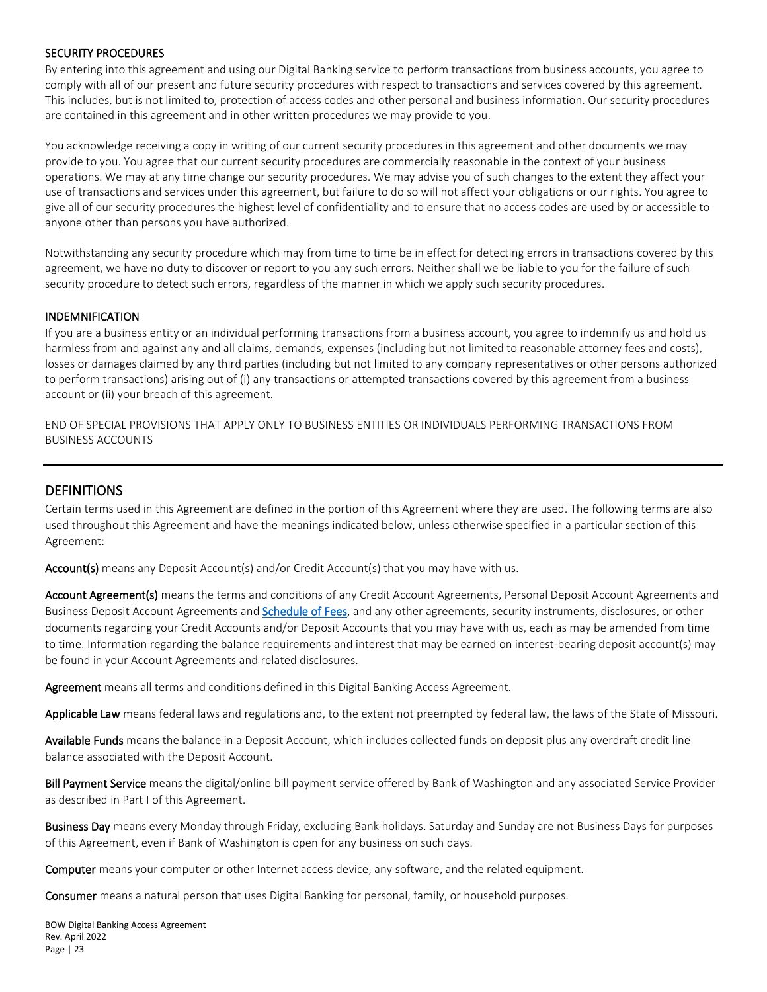#### SECURITY PROCEDURES

By entering into this agreement and using our Digital Banking service to perform transactions from business accounts, you agree to comply with all of our present and future security procedures with respect to transactions and services covered by this agreement. This includes, but is not limited to, protection of access codes and other personal and business information. Our security procedures are contained in this agreement and in other written procedures we may provide to you.

You acknowledge receiving a copy in writing of our current security procedures in this agreement and other documents we may provide to you. You agree that our current security procedures are commercially reasonable in the context of your business operations. We may at any time change our security procedures. We may advise you of such changes to the extent they affect your use of transactions and services under this agreement, but failure to do so will not affect your obligations or our rights. You agree to give all of our security procedures the highest level of confidentiality and to ensure that no access codes are used by or accessible to anyone other than persons you have authorized.

Notwithstanding any security procedure which may from time to time be in effect for detecting errors in transactions covered by this agreement, we have no duty to discover or report to you any such errors. Neither shall we be liable to you for the failure of such security procedure to detect such errors, regardless of the manner in which we apply such security procedures.

#### INDEMNIFICATION

If you are a business entity or an individual performing transactions from a business account, you agree to indemnify us and hold us harmless from and against any and all claims, demands, expenses (including but not limited to reasonable attorney fees and costs), losses or damages claimed by any third parties (including but not limited to any company representatives or other persons authorized to perform transactions) arising out of (i) any transactions or attempted transactions covered by this agreement from a business account or (ii) your breach of this agreement.

END OF SPECIAL PROVISIONS THAT APPLY ONLY TO BUSINESS ENTITIES OR INDIVIDUALS PERFORMING TRANSACTIONS FROM BUSINESS ACCOUNTS

#### DEFINITIONS

Certain terms used in this Agreement are defined in the portion of this Agreement where they are used. The following terms are also used throughout this Agreement and have the meanings indicated below, unless otherwise specified in a particular section of this Agreement:

Account(s) means any Deposit Account(s) and/or Credit Account(s) that you may have with us.

Account Agreement(s) means the terms and conditions of any Credit Account Agreements, Personal Deposit Account Agreements and Business Deposit Account Agreements and [Schedule of Fees,](https://www.bankofwashington.com/about-us/schedule-of-fees) and any other agreements, security instruments, disclosures, or other documents regarding your Credit Accounts and/or Deposit Accounts that you may have with us, each as may be amended from time to time. Information regarding the balance requirements and interest that may be earned on interest-bearing deposit account(s) may be found in your Account Agreements and related disclosures.

Agreement means all terms and conditions defined in this Digital Banking Access Agreement.

Applicable Law means federal laws and regulations and, to the extent not preempted by federal law, the laws of the State of Missouri.

Available Funds means the balance in a Deposit Account, which includes collected funds on deposit plus any overdraft credit line balance associated with the Deposit Account.

Bill Payment Service means the digital/online bill payment service offered by Bank of Washington and any associated Service Provider as described in Part I of this Agreement.

Business Day means every Monday through Friday, excluding Bank holidays. Saturday and Sunday are not Business Days for purposes of this Agreement, even if Bank of Washington is open for any business on such days.

Computer means your computer or other Internet access device, any software, and the related equipment.

Consumer means a natural person that uses Digital Banking for personal, family, or household purposes.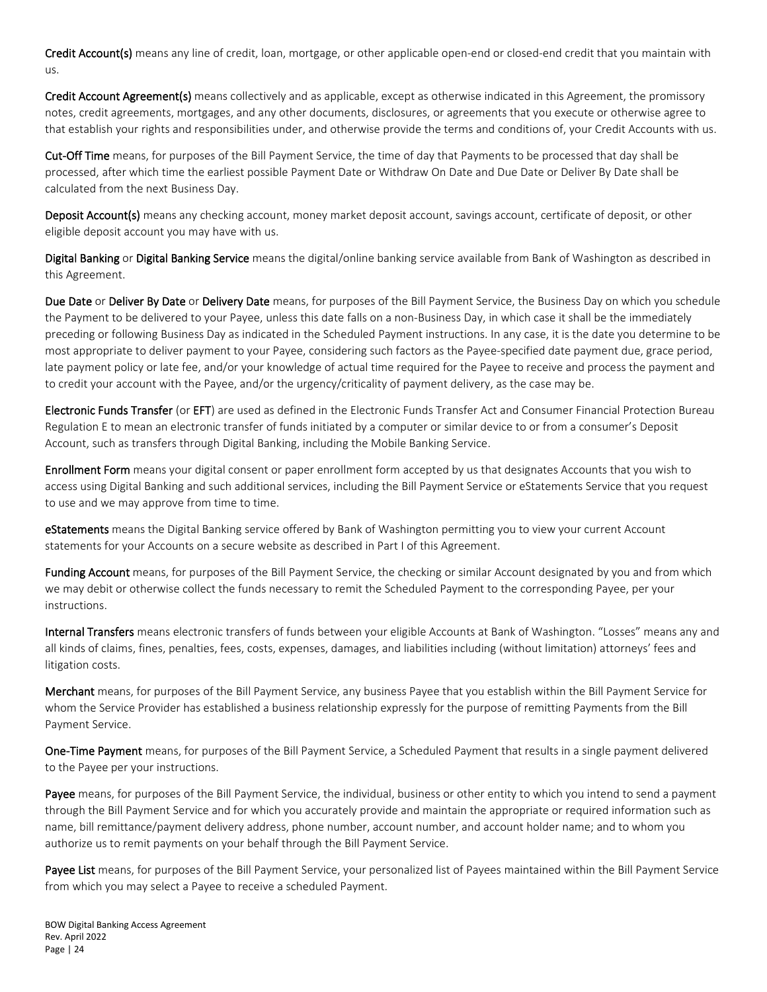Credit Account(s) means any line of credit, loan, mortgage, or other applicable open-end or closed-end credit that you maintain with us.

Credit Account Agreement(s) means collectively and as applicable, except as otherwise indicated in this Agreement, the promissory notes, credit agreements, mortgages, and any other documents, disclosures, or agreements that you execute or otherwise agree to that establish your rights and responsibilities under, and otherwise provide the terms and conditions of, your Credit Accounts with us.

Cut-Off Time means, for purposes of the Bill Payment Service, the time of day that Payments to be processed that day shall be processed, after which time the earliest possible Payment Date or Withdraw On Date and Due Date or Deliver By Date shall be calculated from the next Business Day.

Deposit Account(s) means any checking account, money market deposit account, savings account, certificate of deposit, or other eligible deposit account you may have with us.

Digital Banking or Digital Banking Service means the digital/online banking service available from Bank of Washington as described in this Agreement.

Due Date or Deliver By Date or Delivery Date means, for purposes of the Bill Payment Service, the Business Day on which you schedule the Payment to be delivered to your Payee, unless this date falls on a non-Business Day, in which case it shall be the immediately preceding or following Business Day as indicated in the Scheduled Payment instructions. In any case, it is the date you determine to be most appropriate to deliver payment to your Payee, considering such factors as the Payee-specified date payment due, grace period, late payment policy or late fee, and/or your knowledge of actual time required for the Payee to receive and process the payment and to credit your account with the Payee, and/or the urgency/criticality of payment delivery, as the case may be.

Electronic Funds Transfer (or EFT) are used as defined in the Electronic Funds Transfer Act and Consumer Financial Protection Bureau Regulation E to mean an electronic transfer of funds initiated by a computer or similar device to or from a consumer's Deposit Account, such as transfers through Digital Banking, including the Mobile Banking Service.

Enrollment Form means your digital consent or paper enrollment form accepted by us that designates Accounts that you wish to access using Digital Banking and such additional services, including the Bill Payment Service or eStatements Service that you request to use and we may approve from time to time.

eStatements means the Digital Banking service offered by Bank of Washington permitting you to view your current Account statements for your Accounts on a secure website as described in Part I of this Agreement.

Funding Account means, for purposes of the Bill Payment Service, the checking or similar Account designated by you and from which we may debit or otherwise collect the funds necessary to remit the Scheduled Payment to the corresponding Payee, per your instructions.

Internal Transfers means electronic transfers of funds between your eligible Accounts at Bank of Washington. "Losses" means any and all kinds of claims, fines, penalties, fees, costs, expenses, damages, and liabilities including (without limitation) attorneys' fees and litigation costs.

Merchant means, for purposes of the Bill Payment Service, any business Payee that you establish within the Bill Payment Service for whom the Service Provider has established a business relationship expressly for the purpose of remitting Payments from the Bill Payment Service.

One-Time Payment means, for purposes of the Bill Payment Service, a Scheduled Payment that results in a single payment delivered to the Payee per your instructions.

Payee means, for purposes of the Bill Payment Service, the individual, business or other entity to which you intend to send a payment through the Bill Payment Service and for which you accurately provide and maintain the appropriate or required information such as name, bill remittance/payment delivery address, phone number, account number, and account holder name; and to whom you authorize us to remit payments on your behalf through the Bill Payment Service.

Payee List means, for purposes of the Bill Payment Service, your personalized list of Payees maintained within the Bill Payment Service from which you may select a Payee to receive a scheduled Payment.